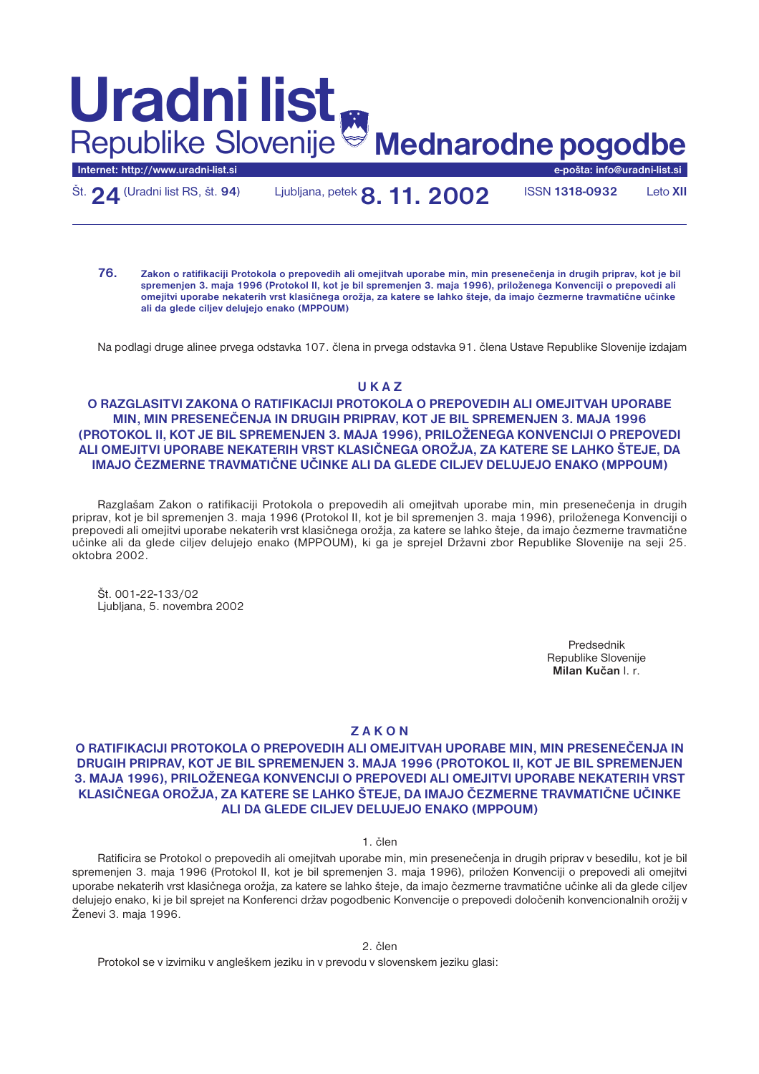# **Internet: http://www.uradni-list.si e-pošta: info@uradni-list.si Mednarodne pogodbe Uradni list** Republike Slovenije

Št.**24** (Uradni list RS, št. **94**) Ljubljana, petek**8. 11. 2002** ISSN **1318-0932** Leto **XII**

**76. Zakon o ratifikaciji Protokola o prepovedih ali omejitvah uporabe min, min presenečenja in drugih priprav, kot je bil spremenjen 3. maja 1996 (Protokol II, kot je bil spremenjen 3. maja 1996), priloženega Konvenciji o prepovedi ali omejitvi uporabe nekaterih vrst klasičnega orožja, za katere se lahko šteje, da imajo čezmerne travmatične učinke ali da glede ciljev delujejo enako (MPPOUM)**

Na podlagi druge alinee prvega odstavka 107. člena in prvega odstavka 91. člena Ustave Republike Slovenije izdajam

## **U K A Z**

### **O RAZGLASITVI ZAKONA O RATIFIKACIJI PROTOKOLA O PREPOVEDIH ALI OMEJITVAH UPORABE MIN, MIN PRESENEČENJA IN DRUGIH PRIPRAV, KOT JE BIL SPREMENJEN 3. MAJA 1996 (PROTOKOL II, KOT JE BIL SPREMENJEN 3. MAJA 1996), PRILOŽENEGA KONVENCIJI O PREPOVEDI ALI OMEJITVI UPORABE NEKATERIH VRST KLASIČNEGA OROŽJA, ZA KATERE SE LAHKO ŠTEJE, DA IMAJO ČEZMERNE TRAVMATIČNE UČINKE ALI DA GLEDE CILJEV DELUJEJO ENAKO (MPPOUM)**

Razglašam Zakon o ratifikaciji Protokola o prepovedih ali omejitvah uporabe min, min presenečenja in drugih priprav, kot je bil spremenjen 3. maja 1996 (Protokol II, kot je bil spremenjen 3. maja 1996), priloženega Konvenciji o prepovedi ali omejitvi uporabe nekaterih vrst klasičnega orožja, za katere se lahko šteje, da imajo čezmerne travmatične učinke ali da glede ciljev delujejo enako (MPPOUM), ki ga je sprejel Državni zbor Republike Slovenije na seji 25. oktobra 2002.

Št. 001-22-133/02 Ljubljana, 5. novembra 2002

> Predsednik Republike Slovenije **Milan Kučan** l. r.

### **Z A K O N**

### **O RATIFIKACIJI PROTOKOLA O PREPOVEDIH ALI OMEJITVAH UPORABE MIN, MIN PRESENEČENJA IN DRUGIH PRIPRAV, KOT JE BIL SPREMENJEN 3. MAJA 1996 (PROTOKOL II, KOT JE BIL SPREMENJEN 3. MAJA 1996), PRILOŽENEGA KONVENCIJI O PREPOVEDI ALI OMEJITVI UPORABE NEKATERIH VRST KLASIČNEGA OROŽJA, ZA KATERE SE LAHKO ŠTEJE, DA IMAJO ČEZMERNE TRAVMATIČNE UČINKE ALI DA GLEDE CILJEV DELUJEJO ENAKO (MPPOUM)**

### 1. člen

Ratificira se Protokol o prepovedih ali omejitvah uporabe min, min presenečenja in drugih priprav v besedilu, kot je bil spremenjen 3. maja 1996 (Protokol II, kot je bil spremenjen 3. maja 1996), priložen Konvenciji o prepovedi ali omejitvi uporabe nekaterih vrst klasičnega orožja, za katere se lahko šteje, da imajo čezmerne travmatične učinke ali da glede ciljev delujejo enako, ki je bil sprejet na Konferenci držav pogodbenic Konvencije o prepovedi določenih konvencionalnih orožij v Ženevi 3. maja 1996.

2. člen

Protokol se v izvirniku v angleškem jeziku in v prevodu v slovenskem jeziku glasi: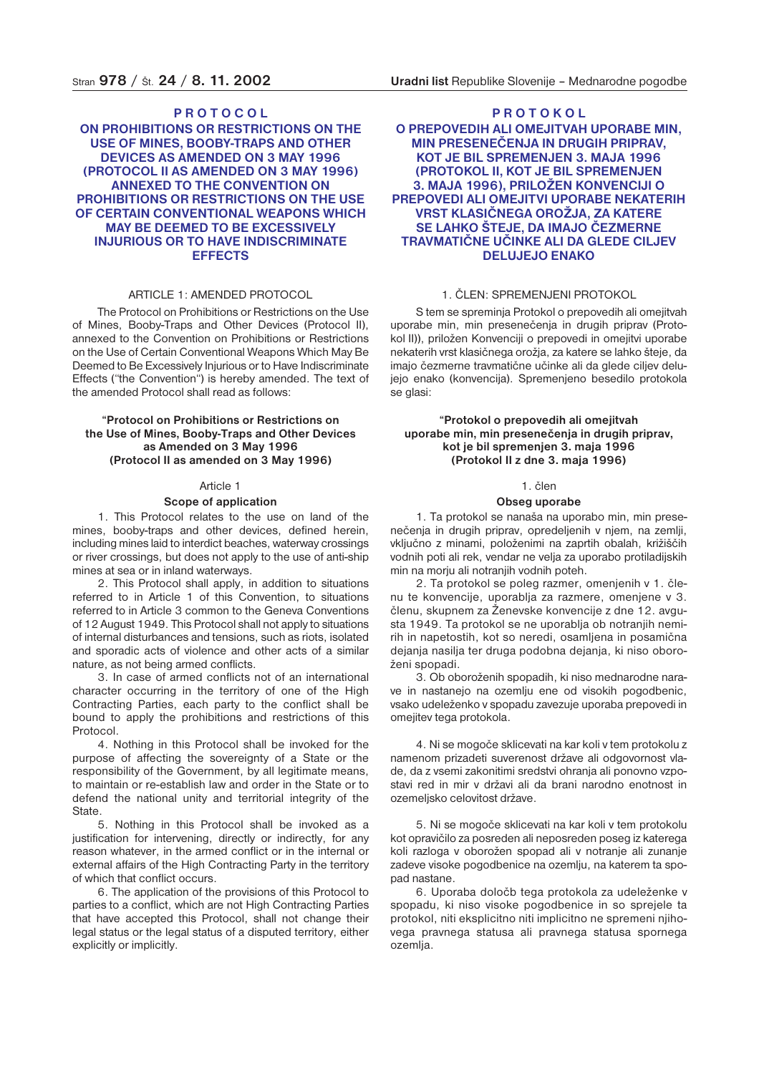### **P R O T O C O L**

**ON PROHIBITIONS OR RESTRICTIONS ON THE USE OF MINES, BOOBY-TRAPS AND OTHER DEVICES AS AMENDED ON 3 MAY 1996 (PROTOCOL II AS AMENDED ON 3 MAY 1996) ANNEXED TO THE CONVENTION ON PROHIBITIONS OR RESTRICTIONS ON THE USE OF CERTAIN CONVENTIONAL WEAPONS WHICH MAY BE DEEMED TO BE EXCESSIVELY INJURIOUS OR TO HAVE INDISCRIMINATE EFFECTS**

#### ARTICLE 1: AMENDED PROTOCOL

The Protocol on Prohibitions or Restrictions on the Use of Mines, Booby-Traps and Other Devices (Protocol II), annexed to the Convention on Prohibitions or Restrictions on the Use of Certain Conventional Weapons Which May Be Deemed to Be Excessively Injurious or to Have Indiscriminate Effects ("the Convention") is hereby amended. The text of the amended Protocol shall read as follows:

### **"Protocol on Prohibitions or Restrictions on the Use of Mines, Booby-Traps and Other Devices as Amended on 3 May 1996 (Protocol II as amended on 3 May 1996)**

#### Article 1

#### **Scope of application**

1. This Protocol relates to the use on land of the mines, booby-traps and other devices, defined herein, including mines laid to interdict beaches, waterway crossings or river crossings, but does not apply to the use of anti-ship mines at sea or in inland waterways.

2. This Protocol shall apply, in addition to situations referred to in Article 1 of this Convention, to situations referred to in Article 3 common to the Geneva Conventions of 12 August 1949. This Protocol shall not apply to situations of internal disturbances and tensions, such as riots, isolated and sporadic acts of violence and other acts of a similar nature, as not being armed conflicts.

3. In case of armed conflicts not of an international character occurring in the territory of one of the High Contracting Parties, each party to the conflict shall be bound to apply the prohibitions and restrictions of this Protocol.

4. Nothing in this Protocol shall be invoked for the purpose of affecting the sovereignty of a State or the responsibility of the Government, by all legitimate means, to maintain or re-establish law and order in the State or to defend the national unity and territorial integrity of the State.

5. Nothing in this Protocol shall be invoked as a justification for intervening, directly or indirectly, for any reason whatever, in the armed conflict or in the internal or external affairs of the High Contracting Party in the territory of which that conflict occurs.

6. The application of the provisions of this Protocol to parties to a conflict, which are not High Contracting Parties that have accepted this Protocol, shall not change their legal status or the legal status of a disputed territory, either explicitly or implicitly.

### **P R O T O K O L**

### **O PREPOVEDIH ALI OMEJITVAH UPORABE MIN, MIN PRESENEČENJA IN DRUGIH PRIPRAV, KOT JE BIL SPREMENJEN 3. MAJA 1996 (PROTOKOL II, KOT JE BIL SPREMENJEN 3. MAJA 1996), PRILOŽEN KONVENCIJI O PREPOVEDI ALI OMEJITVI UPORABE NEKATERIH VRST KLASIČNEGA OROŽJA, ZA KATERE SE LAHKO ŠTEJE, DA IMAJO ČEZMERNE TRAVMATIČNE UČINKE ALI DA GLEDE CILJEV DELUJEJO ENAKO**

### 1. ČLEN: SPREMENJENI PROTOKOL

S tem se spreminja Protokol o prepovedih ali omejitvah uporabe min, min presenečenja in drugih priprav (Protokol II)), priložen Konvenciji o prepovedi in omejitvi uporabe nekaterih vrst klasičnega orožja, za katere se lahko šteje, da imajo čezmerne travmatične učinke ali da glede ciljev delujejo enako (konvencija). Spremenjeno besedilo protokola se glasi:

### **"Protokol o prepovedih ali omejitvah uporabe min, min presenečenja in drugih priprav, kot je bil spremenjen 3. maja 1996 (Protokol II z dne 3. maja 1996)**

### 1. člen

#### **Obseg uporabe**

1. Ta protokol se nanaša na uporabo min, min presenečenja in drugih priprav, opredeljenih v njem, na zemlji, vključno z minami, položenimi na zaprtih obalah, križiščih vodnih poti ali rek, vendar ne velja za uporabo protiladijskih min na morju ali notranjih vodnih poteh.

2. Ta protokol se poleg razmer, omenjenih v 1. členu te konvencije, uporablja za razmere, omenjene v 3. členu, skupnem za Ženevske konvencije z dne 12. avgusta 1949. Ta protokol se ne uporablja ob notranjih nemirih in napetostih, kot so neredi, osamljena in posamična dejanja nasilja ter druga podobna dejanja, ki niso oboroženi spopadi.

3. Ob oboroženih spopadih, ki niso mednarodne narave in nastanejo na ozemlju ene od visokih pogodbenic, vsako udeleženko v spopadu zavezuje uporaba prepovedi in omejitev tega protokola.

4. Ni se mogoče sklicevati na kar koli v tem protokolu z namenom prizadeti suverenost države ali odgovornost vlade, da z vsemi zakonitimi sredstvi ohranja ali ponovno vzpostavi red in mir v državi ali da brani narodno enotnost in ozemeljsko celovitost države.

5. Ni se mogoče sklicevati na kar koli v tem protokolu kot opravičilo za posreden ali neposreden poseg iz katerega koli razloga v oborožen spopad ali v notranje ali zunanje zadeve visoke pogodbenice na ozemlju, na katerem ta spopad nastane.

6. Uporaba določb tega protokola za udeleženke v spopadu, ki niso visoke pogodbenice in so sprejele ta protokol, niti eksplicitno niti implicitno ne spremeni njihovega pravnega statusa ali pravnega statusa spornega ozemlia.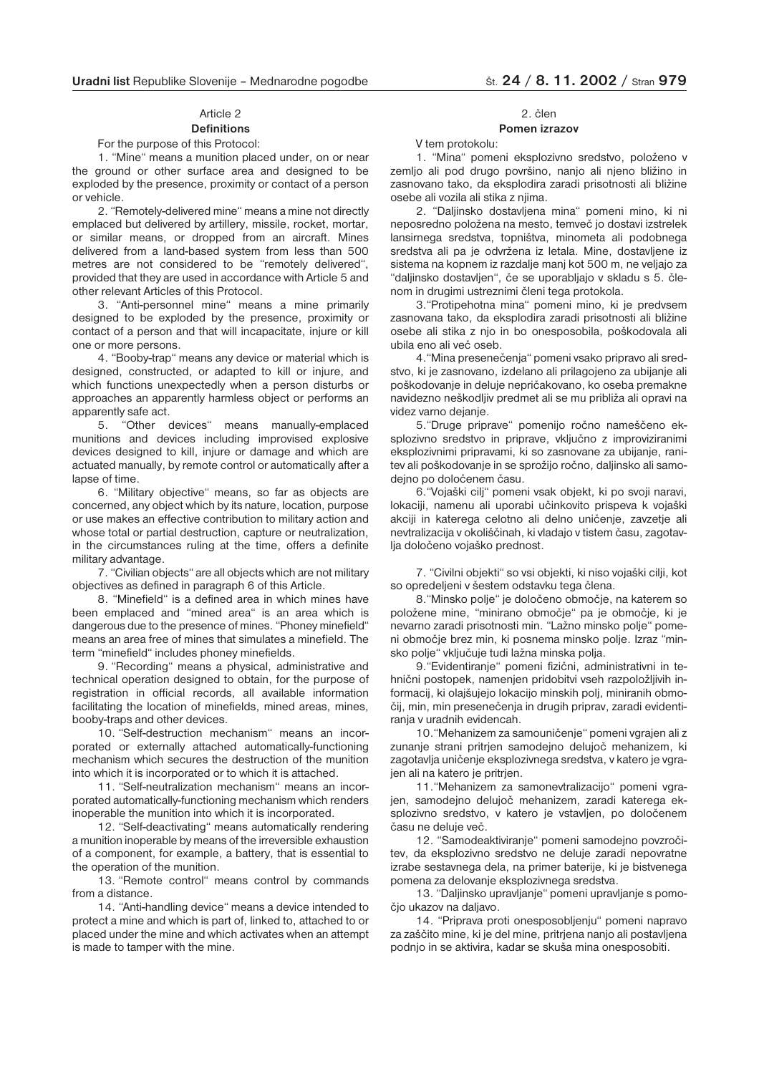### Article 2

#### **Definitions** For the purpose of this Protocol:

1. "Mine" means a munition placed under, on or near the ground or other surface area and designed to be exploded by the presence, proximity or contact of a person or vehicle.

2. "Remotely-delivered mine" means a mine not directly emplaced but delivered by artillery, missile, rocket, mortar, or similar means, or dropped from an aircraft. Mines delivered from a land-based system from less than 500 metres are not considered to be "remotely delivered", provided that they are used in accordance with Article 5 and other relevant Articles of this Protocol.

3. "Anti-personnel mine" means a mine primarily designed to be exploded by the presence, proximity or contact of a person and that will incapacitate, injure or kill one or more persons.

4. "Booby-trap" means any device or material which is designed, constructed, or adapted to kill or injure, and which functions unexpectedly when a person disturbs or approaches an apparently harmless object or performs an apparently safe act.

5. "Other devices" means manually-emplaced munitions and devices including improvised explosive devices designed to kill, injure or damage and which are actuated manually, by remote control or automatically after a lapse of time.

6. "Military objective" means, so far as objects are concerned, any object which by its nature, location, purpose or use makes an effective contribution to military action and whose total or partial destruction, capture or neutralization, in the circumstances ruling at the time, offers a definite military advantage.

7. "Civilian objects" are all objects which are not military objectives as defined in paragraph 6 of this Article.

8. "Minefield" is a defined area in which mines have been emplaced and "mined area" is an area which is dangerous due to the presence of mines. "Phoney minefield" means an area free of mines that simulates a minefield. The term "minefield" includes phoney minefields.

9. "Recording" means a physical, administrative and technical operation designed to obtain, for the purpose of registration in official records, all available information facilitating the location of minefields, mined areas, mines, booby-traps and other devices.

10. "Self-destruction mechanism" means an incorporated or externally attached automatically-functioning mechanism which secures the destruction of the munition into which it is incorporated or to which it is attached.

11. "Self-neutralization mechanism" means an incorporated automatically-functioning mechanism which renders inoperable the munition into which it is incorporated.

12. "Self-deactivating" means automatically rendering a munition inoperable by means of the irreversible exhaustion of a component, for example, a battery, that is essential to the operation of the munition.

13. "Remote control" means control by commands from a distance.

14. "Anti-handling device" means a device intended to protect a mine and which is part of, linked to, attached to or placed under the mine and which activates when an attempt is made to tamper with the mine.

## 2. člen

### **Pomen izrazov**

V tem protokolu:

1. "Mina" pomeni eksplozivno sredstvo, položeno v zemljo ali pod drugo površino, nanjo ali njeno bližino in zasnovano tako, da eksplodira zaradi prisotnosti ali bližine osebe ali vozila ali stika z njima.

2. "Daljinsko dostavljena mina" pomeni mino, ki ni neposredno položena na mesto, temveč jo dostavi izstrelek lansirnega sredstva, topništva, minometa ali podobnega sredstva ali pa je odvržena iz letala. Mine, dostavljene iz sistema na kopnem iz razdalje manj kot 500 m, ne veljajo za "daljinsko dostavljen", če se uporabljajo v skladu s 5. členom in drugimi ustreznimi členi tega protokola.

3."Protipehotna mina" pomeni mino, ki je predvsem zasnovana tako, da eksplodira zaradi prisotnosti ali bližine osebe ali stika z njo in bo onesposobila, poškodovala ali ubila eno ali več oseb.

4."Mina presenečenja" pomeni vsako pripravo ali sredstvo, ki je zasnovano, izdelano ali prilagojeno za ubijanje ali poškodovanje in deluje nepričakovano, ko oseba premakne navidezno neškodljiv predmet ali se mu približa ali opravi na videz varno dejanje.

5."Druge priprave" pomenijo ročno nameščeno eksplozivno sredstvo in priprave, vključno z improviziranimi eksplozivnimi pripravami, ki so zasnovane za ubijanje, ranitev ali poškodovanje in se sprožijo ročno, daljinsko ali samodejno po določenem času.

6."Vojaški cilj" pomeni vsak objekt, ki po svoji naravi, lokaciji, namenu ali uporabi učinkovito prispeva k vojaški akciji in katerega celotno ali delno uničenje, zavzetje ali nevtralizacija v okoliščinah, ki vladajo v tistem času, zagotavlja določeno vojaško prednost.

7. "Civilni objekti" so vsi objekti, ki niso vojaški cilji, kot so opredeljeni v šestem odstavku tega člena.

8."Minsko polje" je določeno območje, na katerem so položene mine, "minirano območje" pa je območje, ki je nevarno zaradi prisotnosti min. "Lažno minsko polje" pomeni območje brez min, ki posnema minsko polje. Izraz "minsko polje" vključuje tudi lažna minska polja.

9."Evidentiranje" pomeni fizični, administrativni in tehnični postopek, namenjen pridobitvi vseh razpoložljivih informacij, ki olajšujejo lokacijo minskih polj, miniranih območij, min, min presenečenja in drugih priprav, zaradi evidentiranja v uradnih evidencah.

10."Mehanizem za samouničenje" pomeni vgrajen ali z zunanje strani pritrjen samodejno delujoč mehanizem, ki zagotavlja uničenje eksplozivnega sredstva, v katero je vgrajen ali na katero je pritrjen.

11."Mehanizem za samonevtralizacijo" pomeni vgrajen, samodejno delujoč mehanizem, zaradi katerega eksplozivno sredstvo, v katero je vstavljen, po določenem času ne deluje več.

12. "Samodeaktiviranje" pomeni samodejno povzročitev, da eksplozivno sredstvo ne deluje zaradi nepovratne izrabe sestavnega dela, na primer baterije, ki je bistvenega pomena za delovanje eksplozivnega sredstva.

13. "Daljinsko upravljanje" pomeni upravljanje s pomočjo ukazov na daljavo.

14. "Priprava proti onesposobljenju" pomeni napravo za zaščito mine, ki je del mine, pritrjena nanjo ali postavljena podnjo in se aktivira, kadar se skuša mina onesposobiti.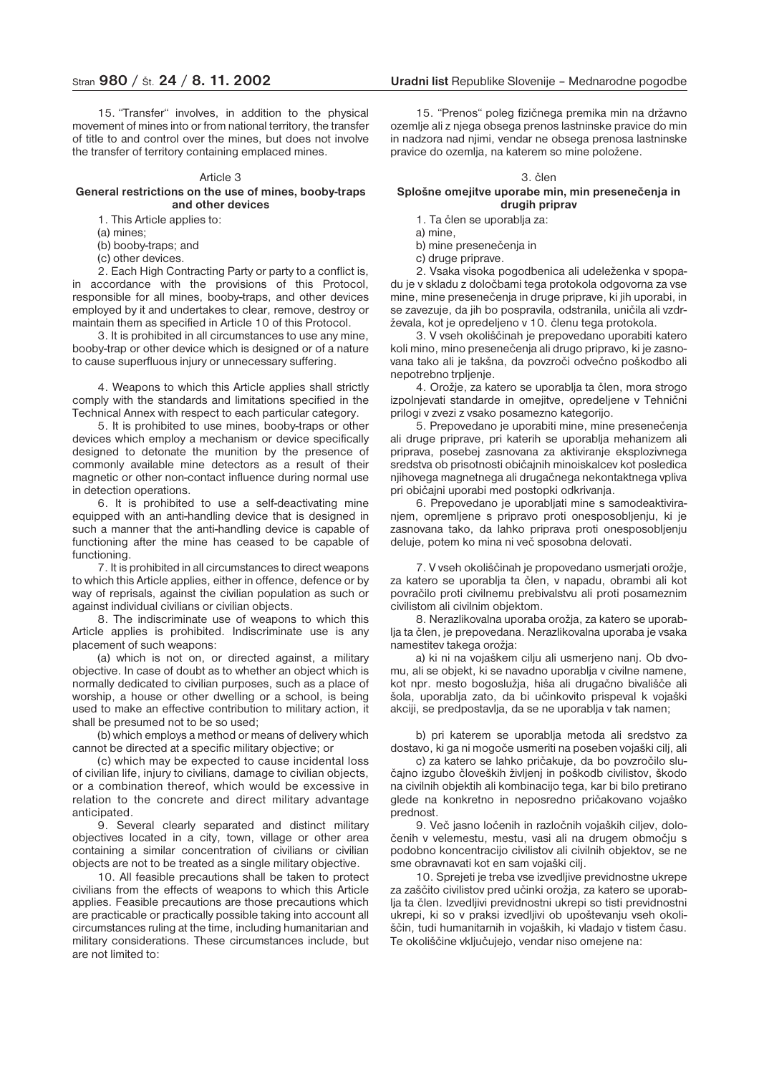15. "Transfer" involves, in addition to the physical movement of mines into or from national territory, the transfer of title to and control over the mines, but does not involve the transfer of territory containing emplaced mines.

#### Article 3

#### **General restrictions on the use of mines, booby-traps and other devices**

1. This Article applies to:

(a) mines;

(b) booby-traps; and

(c) other devices.

2. Each High Contracting Party or party to a conflict is, in accordance with the provisions of this Protocol, responsible for all mines, booby-traps, and other devices employed by it and undertakes to clear, remove, destroy or maintain them as specified in Article 10 of this Protocol.

3. It is prohibited in all circumstances to use any mine, booby-trap or other device which is designed or of a nature to cause superfluous injury or unnecessary suffering.

4. Weapons to which this Article applies shall strictly comply with the standards and limitations specified in the Technical Annex with respect to each particular category.

5. It is prohibited to use mines, booby-traps or other devices which employ a mechanism or device specifically designed to detonate the munition by the presence of commonly available mine detectors as a result of their magnetic or other non-contact influence during normal use in detection operations.

6. It is prohibited to use a self-deactivating mine equipped with an anti-handling device that is designed in such a manner that the anti-handling device is capable of functioning after the mine has ceased to be capable of functioning.

7. It is prohibited in all circumstances to direct weapons to which this Article applies, either in offence, defence or by way of reprisals, against the civilian population as such or against individual civilians or civilian objects.

8. The indiscriminate use of weapons to which this Article applies is prohibited. Indiscriminate use is any placement of such weapons:

(a) which is not on, or directed against, a military objective. In case of doubt as to whether an object which is normally dedicated to civilian purposes, such as a place of worship, a house or other dwelling or a school, is being used to make an effective contribution to military action, it shall be presumed not to be so used;

(b) which employs a method or means of delivery which cannot be directed at a specific military objective; or

(c) which may be expected to cause incidental loss of civilian life, injury to civilians, damage to civilian objects, or a combination thereof, which would be excessive in relation to the concrete and direct military advantage anticipated.

9. Several clearly separated and distinct military objectives located in a city, town, village or other area containing a similar concentration of civilians or civilian objects are not to be treated as a single military objective.

10. All feasible precautions shall be taken to protect civilians from the effects of weapons to which this Article applies. Feasible precautions are those precautions which are practicable or practically possible taking into account all circumstances ruling at the time, including humanitarian and military considerations. These circumstances include, but are not limited to:

15. "Prenos" poleg fizičnega premika min na državno ozemlje ali z njega obsega prenos lastninske pravice do min in nadzora nad njimi, vendar ne obsega prenosa lastninske pravice do ozemlja, na katerem so mine položene.

#### 3. člen

#### **Splošne omejitve uporabe min, min presenečenja in drugih priprav**

1. Ta člen se uporablja za:

a) mine,

b) mine presenečenja in

c) druge priprave.

2. Vsaka visoka pogodbenica ali udeleženka v spopadu je v skladu z določbami tega protokola odgovorna za vse mine, mine presenečenja in druge priprave, ki jih uporabi, in se zavezuje, da jih bo pospravila, odstranila, uničila ali vzdrževala, kot je opredeljeno v 10. členu tega protokola.

3. V vseh okoliščinah je prepovedano uporabiti katero koli mino, mino presenečenja ali drugo pripravo, ki je zasnovana tako ali je takšna, da povzroči odvečno poškodbo ali nepotrebno trpljenje.

4. Orožje, za katero se uporablja ta člen, mora strogo izpolnjevati standarde in omejitve, opredeljene v Tehnični prilogi v zvezi z vsako posamezno kategorijo.

5. Prepovedano je uporabiti mine, mine presenečenja ali druge priprave, pri katerih se uporablja mehanizem ali priprava, posebej zasnovana za aktiviranje eksplozivnega sredstva ob prisotnosti običajnih minoiskalcev kot posledica njihovega magnetnega ali drugačnega nekontaktnega vpliva pri običajni uporabi med postopki odkrivanja.

6. Prepovedano je uporabljati mine s samodeaktiviranjem, opremljene s pripravo proti onesposobljenju, ki je zasnovana tako, da lahko priprava proti onesposobljenju deluje, potem ko mina ni več sposobna delovati.

7. V vseh okoliščinah je propovedano usmerjati orožje, za katero se uporablja ta člen, v napadu, obrambi ali kot povračilo proti civilnemu prebivalstvu ali proti posameznim civilistom ali civilnim objektom.

8. Nerazlikovalna uporaba orožja, za katero se uporablja ta člen, je prepovedana. Nerazlikovalna uporaba je vsaka namestitev takega orožja:

a) ki ni na vojaškem cilju ali usmerjeno nanj. Ob dvomu, ali se objekt, ki se navadno uporablja v civilne namene, kot npr. mesto bogoslužja, hiša ali drugačno bivališče ali šola, uporablja zato, da bi učinkovito prispeval k vojaški akciji, se predpostavlja, da se ne uporablja v tak namen;

b) pri katerem se uporablja metoda ali sredstvo za dostavo, ki ga ni mogoče usmeriti na poseben vojaški cilj, ali

c) za katero se lahko pričakuje, da bo povzročilo slučajno izgubo človeških življenj in poškodb civilistov, škodo na civilnih objektih ali kombinacijo tega, kar bi bilo pretirano glede na konkretno in neposredno pričakovano vojaško prednost.

9. Več jasno ločenih in razločnih vojaških ciljev, določenih v velemestu, mestu, vasi ali na drugem območju s podobno koncentracijo civilistov ali civilnih objektov, se ne sme obravnavati kot en sam vojaški cilj.

10. Sprejeti je treba vse izvedljive previdnostne ukrepe za zaščito civilistov pred učinki orožja, za katero se uporablja ta člen. Izvedljivi previdnostni ukrepi so tisti previdnostni ukrepi, ki so v praksi izvedljivi ob upoštevanju vseh okoliščin, tudi humanitarnih in vojaških, ki vladajo v tistem času. Te okoliščine vključujejo, vendar niso omejene na: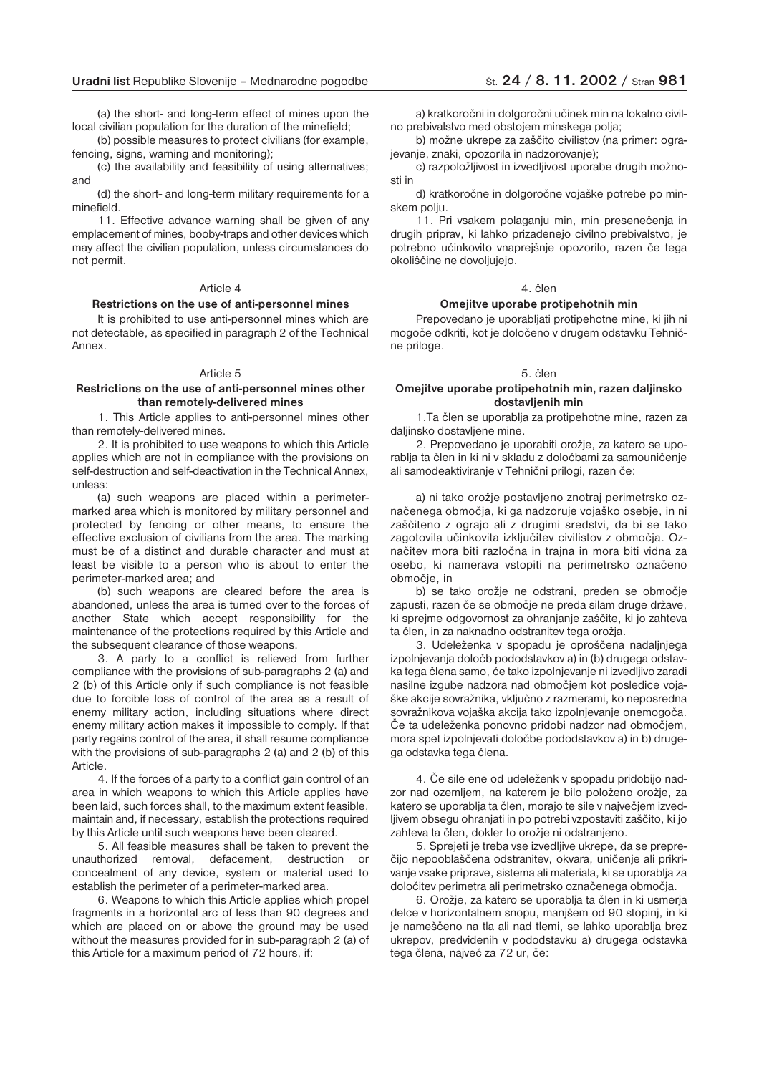(a) the short- and long-term effect of mines upon the local civilian population for the duration of the minefield;

(b) possible measures to protect civilians (for example, fencing, signs, warning and monitoring);

(c) the availability and feasibility of using alternatives; and

(d) the short- and long-term military requirements for a minefield.

11. Effective advance warning shall be given of any emplacement of mines, booby-traps and other devices which may affect the civilian population, unless circumstances do not permit.

#### Article 4

#### **Restrictions on the use of anti-personnel mines**

It is prohibited to use anti-personnel mines which are not detectable, as specified in paragraph 2 of the Technical Annex.

#### Article 5

#### **Restrictions on the use of anti-personnel mines other than remotely-delivered mines**

1. This Article applies to anti-personnel mines other than remotely-delivered mines.

2. It is prohibited to use weapons to which this Article applies which are not in compliance with the provisions on self-destruction and self-deactivation in the Technical Annex, unless:

(a) such weapons are placed within a perimetermarked area which is monitored by military personnel and protected by fencing or other means, to ensure the effective exclusion of civilians from the area. The marking must be of a distinct and durable character and must at least be visible to a person who is about to enter the perimeter-marked area; and

(b) such weapons are cleared before the area is abandoned, unless the area is turned over to the forces of another State which accept responsibility for the maintenance of the protections required by this Article and the subsequent clearance of those weapons.

3. A party to a conflict is relieved from further compliance with the provisions of sub-paragraphs 2 (a) and 2 (b) of this Article only if such compliance is not feasible due to forcible loss of control of the area as a result of enemy military action, including situations where direct enemy military action makes it impossible to comply. If that party regains control of the area, it shall resume compliance with the provisions of sub-paragraphs 2 (a) and 2 (b) of this Article.

4. If the forces of a party to a conflict gain control of an area in which weapons to which this Article applies have been laid, such forces shall, to the maximum extent feasible, maintain and, if necessary, establish the protections required by this Article until such weapons have been cleared.

5. All feasible measures shall be taken to prevent the unauthorized removal, defacement, destruction or concealment of any device, system or material used to establish the perimeter of a perimeter-marked area.

6. Weapons to which this Article applies which propel fragments in a horizontal arc of less than 90 degrees and which are placed on or above the ground may be used without the measures provided for in sub-paragraph 2 (a) of this Article for a maximum period of 72 hours, if:

a) kratkoročni in dolgoročni učinek min na lokalno civilno prebivalstvo med obstojem minskega polja;

b) možne ukrepe za zaščito civilistov (na primer: ograjevanje, znaki, opozorila in nadzorovanje);

c) razpoložljivost in izvedljivost uporabe drugih možnosti in

d) kratkoročne in dolgoročne vojaške potrebe po minskem polju.

11. Pri vsakem polaganju min, min presenečenja in drugih priprav, ki lahko prizadenejo civilno prebivalstvo, je potrebno učinkovito vnaprejšnje opozorilo, razen če tega okoliščine ne dovoljujejo.

#### 4. člen

#### **Omejitve uporabe protipehotnih min**

Prepovedano je uporabljati protipehotne mine, ki jih ni mogoče odkriti, kot je določeno v drugem odstavku Tehnične priloge.

#### 5. člen

#### **Omejitve uporabe protipehotnih min, razen daljinsko dostavljenih min**

1.Ta člen se uporablja za protipehotne mine, razen za daljinsko dostavljene mine.

2. Prepovedano je uporabiti orožje, za katero se uporablja ta člen in ki ni v skladu z določbami za samouničenje ali samodeaktiviranje v Tehnični prilogi, razen če:

a) ni tako orožje postavljeno znotraj perimetrsko označenega območja, ki ga nadzoruje vojaško osebje, in ni zaščiteno z ograjo ali z drugimi sredstvi, da bi se tako zagotovila učinkovita izključitev civilistov z območja. Označitev mora biti razločna in trajna in mora biti vidna za osebo, ki namerava vstopiti na perimetrsko označeno območje, in

b) se tako orožje ne odstrani, preden se območje zapusti, razen če se območje ne preda silam druge države, ki sprejme odgovornost za ohranjanje zaščite, ki jo zahteva ta člen, in za naknadno odstranitev tega orožja.

3. Udeleženka v spopadu je oproščena nadaljnjega izpolnjevanja določb pododstavkov a) in (b) drugega odstavka tega člena samo, če tako izpolnjevanje ni izvedljivo zaradi nasilne izgube nadzora nad območjem kot posledice vojaške akcije sovražnika, vključno z razmerami, ko neposredna sovražnikova vojaška akcija tako izpolnjevanje onemogoča. Če ta udeleženka ponovno pridobi nadzor nad območjem, mora spet izpolnjevati določbe pododstavkov a) in b) drugega odstavka tega člena.

4. Če sile ene od udeleženk v spopadu pridobijo nadzor nad ozemljem, na katerem je bilo položeno orožje, za katero se uporablja ta člen, morajo te sile v največjem izvedljivem obsegu ohranjati in po potrebi vzpostaviti zaščito, ki jo zahteva ta člen, dokler to orožje ni odstranjeno.

5. Sprejeti je treba vse izvedljive ukrepe, da se preprečijo nepooblaščena odstranitev, okvara, uničenje ali prikrivanje vsake priprave, sistema ali materiala, ki se uporablja za določitev perimetra ali perimetrsko označenega območja.

6. Orožje, za katero se uporablja ta člen in ki usmerja delce v horizontalnem snopu, manjšem od 90 stopinj, in ki je nameščeno na tla ali nad tlemi, se lahko uporablja brez ukrepov, predvidenih v pododstavku a) drugega odstavka tega člena, največ za 72 ur, če: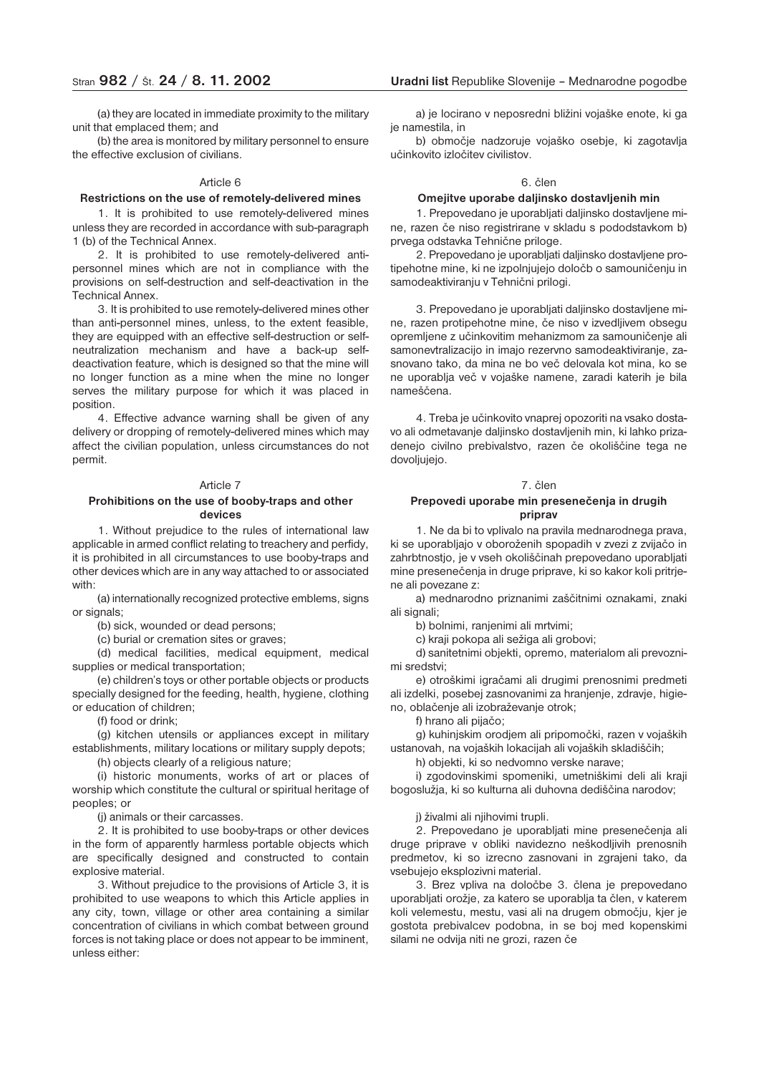(a) they are located in immediate proximity to the military unit that emplaced them; and

(b) the area is monitored by military personnel to ensure the effective exclusion of civilians.

#### Article 6

#### **Restrictions on the use of remotely-delivered mines**

1. It is prohibited to use remotely-delivered mines unless they are recorded in accordance with sub-paragraph 1 (b) of the Technical Annex.

2. It is prohibited to use remotely-delivered antipersonnel mines which are not in compliance with the provisions on self-destruction and self-deactivation in the Technical Annex.

3. It is prohibited to use remotely-delivered mines other than anti-personnel mines, unless, to the extent feasible, they are equipped with an effective self-destruction or selfneutralization mechanism and have a back-up selfdeactivation feature, which is designed so that the mine will no longer function as a mine when the mine no longer serves the military purpose for which it was placed in position.

4. Effective advance warning shall be given of any delivery or dropping of remotely-delivered mines which may affect the civilian population, unless circumstances do not permit.

#### Article 7

### **Prohibitions on the use of booby-traps and other devices**

1. Without prejudice to the rules of international law applicable in armed conflict relating to treachery and perfidy, it is prohibited in all circumstances to use booby-traps and other devices which are in any way attached to or associated with:

(a) internationally recognized protective emblems, signs or signals;

(b) sick, wounded or dead persons;

(c) burial or cremation sites or graves;

(d) medical facilities, medical equipment, medical supplies or medical transportation;

(e) children's toys or other portable objects or products specially designed for the feeding, health, hygiene, clothing or education of children;

(f) food or drink;

(g) kitchen utensils or appliances except in military establishments, military locations or military supply depots;

(h) objects clearly of a religious nature;

(i) historic monuments, works of art or places of worship which constitute the cultural or spiritual heritage of peoples; or

(j) animals or their carcasses.

2. It is prohibited to use booby-traps or other devices in the form of apparently harmless portable objects which are specifically designed and constructed to contain explosive material.

3. Without prejudice to the provisions of Article 3, it is prohibited to use weapons to which this Article applies in any city, town, village or other area containing a similar concentration of civilians in which combat between ground forces is not taking place or does not appear to be imminent, unless either:

a) je locirano v neposredni bližini vojaške enote, ki ga ie namestila, in

b) območje nadzoruje vojaško osebje, ki zagotavlja učinkovito izločitev civilistov.

#### 6. člen

#### **Omejitve uporabe daljinsko dostavljenih min**

1. Prepovedano je uporabljati daljinsko dostavljene mine, razen če niso registrirane v skladu s pododstavkom b) prvega odstavka Tehnične priloge.

2. Prepovedano je uporabljati daljinsko dostavljene protipehotne mine, ki ne izpolnjujejo določb o samouničenju in samodeaktiviranju v Tehnični prilogi.

3. Prepovedano je uporabljati daljinsko dostavljene mine, razen protipehotne mine, če niso v izvedljivem obsegu opremljene z učinkovitim mehanizmom za samouničenje ali samonevtralizacijo in imajo rezervno samodeaktiviranje, zasnovano tako, da mina ne bo več delovala kot mina, ko se ne uporablja več v vojaške namene, zaradi katerih je bila nameščena.

4. Treba je učinkovito vnaprej opozoriti na vsako dostavo ali odmetavanje daljinsko dostavljenih min, ki lahko prizadenejo civilno prebivalstvo, razen če okoliščine tega ne dovoljujejo.

#### 7. člen

#### **Prepovedi uporabe min presenečenja in drugih priprav**

1. Ne da bi to vplivalo na pravila mednarodnega prava, ki se uporabljajo v oboroženih spopadih v zvezi z zvijačo in zahrbtnostjo, je v vseh okoliščinah prepovedano uporabljati mine presenečenja in druge priprave, ki so kakor koli pritrjene ali povezane z:

a) mednarodno priznanimi zaščitnimi oznakami, znaki ali signali;

b) bolnimi, ranjenimi ali mrtvimi;

c) kraji pokopa ali sežiga ali grobovi;

d) sanitetnimi objekti, opremo, materialom ali prevoznimi sredstvi;

e) otroškimi igračami ali drugimi prenosnimi predmeti ali izdelki, posebej zasnovanimi za hranjenje, zdravje, higieno, oblačenje ali izobraževanje otrok;

f) hrano ali pijačo;

g) kuhinjskim orodjem ali pripomočki, razen v vojaških ustanovah, na vojaških lokacijah ali vojaških skladiščih;

h) objekti, ki so nedvomno verske narave;

i) zgodovinskimi spomeniki, umetniškimi deli ali kraji bogoslužja, ki so kulturna ali duhovna dediščina narodov;

j) živalmi ali njihovimi trupli.

2. Prepovedano je uporabljati mine presenečenja ali druge priprave v obliki navidezno neškodljivih prenosnih predmetov, ki so izrecno zasnovani in zgrajeni tako, da vsebujejo eksplozivni material.

3. Brez vpliva na določbe 3. člena je prepovedano uporabljati orožje, za katero se uporablja ta člen, v katerem koli velemestu, mestu, vasi ali na drugem območju, kjer je gostota prebivalcev podobna, in se boj med kopenskimi silami ne odvija niti ne grozi, razen če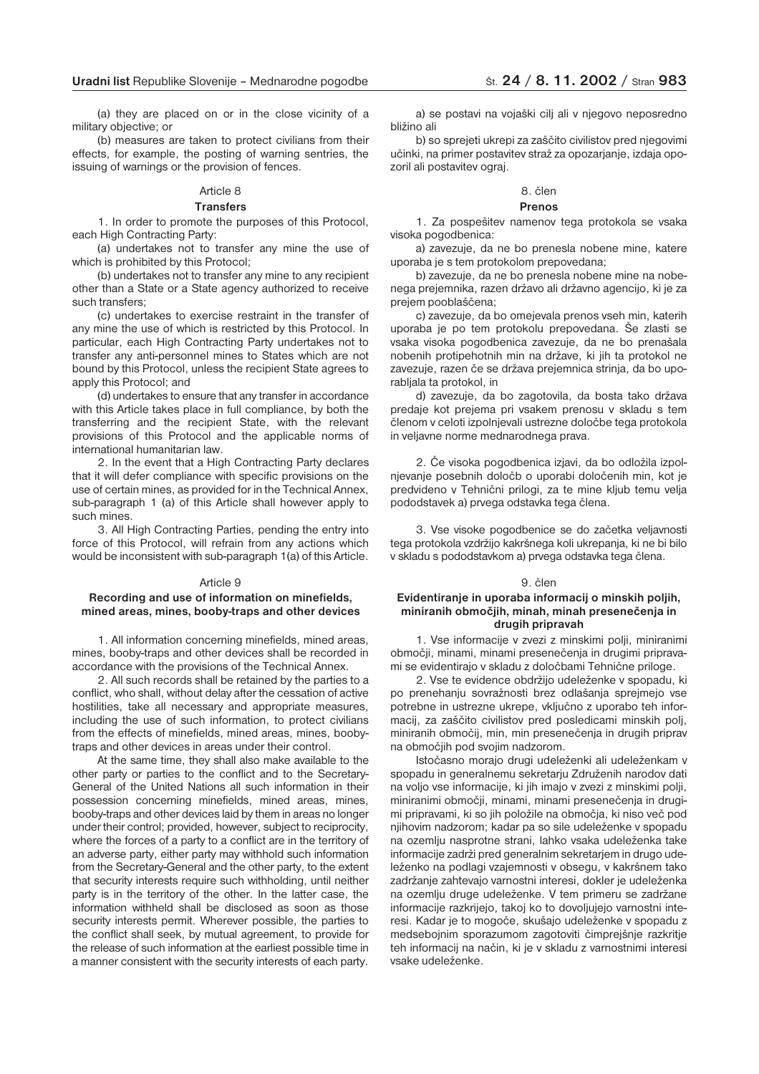(a) they are placed on or in the close vicinity of a military objective; or

(b) measures are taken to protect civilians from their effects, for example, the posting of warning sentries, the issuing of warnings or the provision of fences.

### Article 8

#### **Transfers**

1. In order to promote the purposes of this Protocol, each High Contracting Party:

(a) undertakes not to transfer any mine the use of which is prohibited by this Protocol;

(b) undertakes not to transfer any mine to any recipient other than a State or a State agency authorized to receive such transfers;

(c) undertakes to exercise restraint in the transfer of any mine the use of which is restricted by this Protocol. In particular, each High Contracting Party undertakes not to transfer any anti-personnel mines to States which are not bound by this Protocol, unless the recipient State agrees to apply this Protocol; and

(d) undertakes to ensure that any transfer in accordance with this Article takes place in full compliance, by both the transferring and the recipient State, with the relevant provisions of this Protocol and the applicable norms of international humanitarian law.

2. In the event that a High Contracting Party declares that it will defer compliance with specific provisions on the use of certain mines, as provided for in the Technical Annex, sub-paragraph 1 (a) of this Article shall however apply to such mines.

3. All High Contracting Parties, pending the entry into force of this Protocol, will refrain from any actions which would be inconsistent with sub-paragraph 1(a) of this Article.

#### Article 9

#### **Recording and use of information on minefields, mined areas, mines, booby-traps and other devices**

1. All information concerning minefields, mined areas, mines, booby-traps and other devices shall be recorded in accordance with the provisions of the Technical Annex.

2. All such records shall be retained by the parties to a conflict, who shall, without delay after the cessation of active hostilities, take all necessary and appropriate measures, including the use of such information, to protect civilians from the effects of minefields, mined areas, mines, boobytraps and other devices in areas under their control.

At the same time, they shall also make available to the other party or parties to the conflict and to the Secretary-General of the United Nations all such information in their possession concerning minefields, mined areas, mines, booby-traps and other devices laid by them in areas no longer under their control; provided, however, subject to reciprocity, where the forces of a party to a conflict are in the territory of an adverse party, either party may withhold such information from the Secretary-General and the other party, to the extent that security interests require such withholding, until neither party is in the territory of the other. In the latter case, the information withheld shall be disclosed as soon as those security interests permit. Wherever possible, the parties to the conflict shall seek, by mutual agreement, to provide for the release of such information at the earliest possible time in a manner consistent with the security interests of each party.

a) se postavi na vojaški cilj ali v njegovo neposredno bližino ali

b) so sprejeti ukrepi za zaščito civilistov pred njegovimi učinki, na primer postavitev straž za opozarjanje, izdaja opozoril ali postavitev ograj.

### 8. člen

### **Prenos**

1. Za pospešitev namenov tega protokola se vsaka visoka pogodbenica:

a) zavezuje, da ne bo prenesla nobene mine, katere uporaba je s tem protokolom prepovedana;

b) zavezuje, da ne bo prenesla nobene mine na nobenega prejemnika, razen državo ali državno agencijo, ki je za prejem pooblaščena;

c) zavezuje, da bo omejevala prenos vseh min, katerih uporaba je po tem protokolu prepovedana. Še zlasti se vsaka visoka pogodbenica zavezuje, da ne bo prenašala nobenih protipehotnih min na države, ki jih ta protokol ne zavezuje, razen če se država prejemnica strinja, da bo uporabljala ta protokol, in

d) zavezuje, da bo zagotovila, da bosta tako država predaje kot prejema pri vsakem prenosu v skladu s tem členom v celoti izpolnjevali ustrezne določbe tega protokola in veljavne norme mednarodnega prava.

2. Če visoka pogodbenica izjavi, da bo odložila izpolnjevanje posebnih določb o uporabi določenih min, kot je predvideno v Tehnični prilogi, za te mine kljub temu velja pododstavek a) prvega odstavka tega člena.

3. Vse visoke pogodbenice se do začetka veljavnosti tega protokola vzdržijo kakršnega koli ukrepanja, ki ne bi bilo v skladu s pododstavkom a) prvega odstavka tega člena.

#### 9. člen

### **Evidentiranje in uporaba informacij o minskih poljih, miniranih območjih, minah, minah presenečenja in drugih pripravah**

1. Vse informacije v zvezi z minskimi polji, miniranimi območji, minami, minami presenečenja in drugimi pripravami se evidentirajo v skladu z določbami Tehnične priloge.

2. Vse te evidence obdržijo udeleženke v spopadu, ki po prenehanju sovražnosti brez odlašanja sprejmejo vse potrebne in ustrezne ukrepe, vključno z uporabo teh informacij, za zaščito civilistov pred posledicami minskih polj, miniranih območij, min, min presenečenja in drugih priprav na območjih pod svojim nadzorom.

Istočasno morajo drugi udeleženki ali udeleženkam v spopadu in generalnemu sekretarju Združenih narodov dati na voljo vse informacije, ki jih imajo v zvezi z minskimi polji, miniranimi območji, minami, minami presenečenja in drugimi pripravami, ki so jih položile na območja, ki niso več pod njihovim nadzorom; kadar pa so sile udeleženke v spopadu na ozemlju nasprotne strani, lahko vsaka udeleženka take informacije zadrži pred generalnim sekretarjem in drugo udeleženko na podlagi vzajemnosti v obsegu, v kakršnem tako zadržanje zahtevajo varnostni interesi, dokler je udeleženka na ozemlju druge udeleženke. V tem primeru se zadržane informacije razkrijejo, takoj ko to dovoljujejo varnostni interesi. Kadar je to mogoče, skušajo udeleženke v spopadu z medsebojnim sporazumom zagotoviti čimprejšnje razkritje teh informacij na način, ki je v skladu z varnostnimi interesi vsake udeleženke.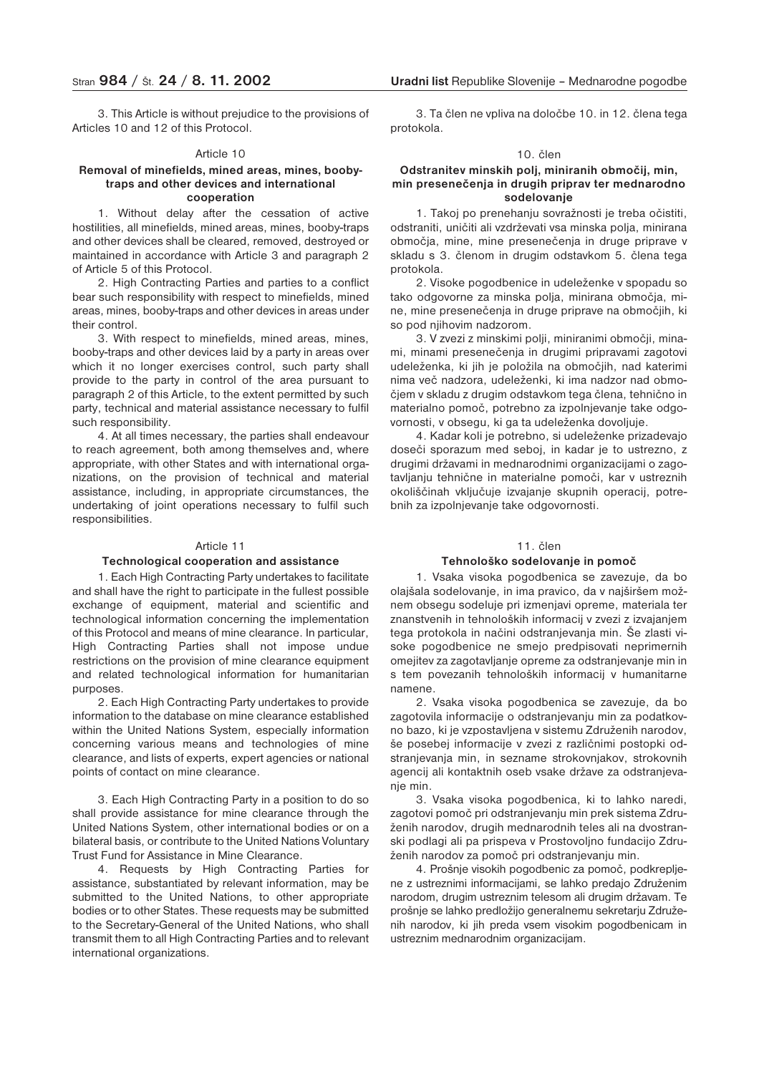3. This Article is without prejudice to the provisions of Articles 10 and 12 of this Protocol.

#### Article 10

### **Removal of minefields, mined areas, mines, boobytraps and other devices and international cooperation**

1. Without delay after the cessation of active hostilities, all minefields, mined areas, mines, booby-traps and other devices shall be cleared, removed, destroyed or maintained in accordance with Article 3 and paragraph 2 of Article 5 of this Protocol.

2. High Contracting Parties and parties to a conflict bear such responsibility with respect to minefields, mined areas, mines, booby-traps and other devices in areas under their control.

3. With respect to minefields, mined areas, mines, booby-traps and other devices laid by a party in areas over which it no longer exercises control, such party shall provide to the party in control of the area pursuant to paragraph 2 of this Article, to the extent permitted by such party, technical and material assistance necessary to fulfil such responsibility.

4. At all times necessary, the parties shall endeavour to reach agreement, both among themselves and, where appropriate, with other States and with international organizations, on the provision of technical and material assistance, including, in appropriate circumstances, the undertaking of joint operations necessary to fulfil such responsibilities.

#### Article 11

#### **Technological cooperation and assistance**

1. Each High Contracting Party undertakes to facilitate and shall have the right to participate in the fullest possible exchange of equipment, material and scientific and technological information concerning the implementation of this Protocol and means of mine clearance. In particular, High Contracting Parties shall not impose undue restrictions on the provision of mine clearance equipment and related technological information for humanitarian purposes.

2. Each High Contracting Party undertakes to provide information to the database on mine clearance established within the United Nations System, especially information concerning various means and technologies of mine clearance, and lists of experts, expert agencies or national points of contact on mine clearance.

3. Each High Contracting Party in a position to do so shall provide assistance for mine clearance through the United Nations System, other international bodies or on a bilateral basis, or contribute to the United Nations Voluntary Trust Fund for Assistance in Mine Clearance.

4. Requests by High Contracting Parties for assistance, substantiated by relevant information, may be submitted to the United Nations, to other appropriate bodies or to other States. These requests may be submitted to the Secretary-General of the United Nations, who shall transmit them to all High Contracting Parties and to relevant international organizations.

3. Ta člen ne vpliva na določbe 10. in 12. člena tega protokola.

#### 10. člen

### **Odstranitev minskih polj, miniranih območij, min, min presenečenja in drugih priprav ter mednarodno sodelovanje**

1. Takoj po prenehanju sovražnosti je treba očistiti, odstraniti, uničiti ali vzdrževati vsa minska polja, minirana območja, mine, mine presenečenja in druge priprave v skladu s 3. členom in drugim odstavkom 5. člena tega protokola.

2. Visoke pogodbenice in udeleženke v spopadu so tako odgovorne za minska polja, minirana območja, mine, mine presenečenja in druge priprave na območjih, ki so pod njihovim nadzorom.

3. V zvezi z minskimi polji, miniranimi območji, minami, minami presenečenja in drugimi pripravami zagotovi udeleženka, ki jih je položila na območjih, nad katerimi nima več nadzora, udeleženki, ki ima nadzor nad območjem v skladu z drugim odstavkom tega člena, tehnično in materialno pomoč, potrebno za izpolnjevanje take odgovornosti, v obsegu, ki ga ta udeleženka dovoljuje.

4. Kadar koli je potrebno, si udeleženke prizadevajo doseči sporazum med seboj, in kadar je to ustrezno, z drugimi državami in mednarodnimi organizacijami o zagotavljanju tehnične in materialne pomoči, kar v ustreznih okoliščinah vključuje izvajanje skupnih operacij, potrebnih za izpolnjevanje take odgovornosti.

#### 11. člen

#### **Tehnološko sodelovanje in pomoč**

1. Vsaka visoka pogodbenica se zavezuje, da bo olajšala sodelovanje, in ima pravico, da v najširšem možnem obsegu sodeluje pri izmenjavi opreme, materiala ter znanstvenih in tehnoloških informacij v zvezi z izvajanjem tega protokola in načini odstranjevanja min. Še zlasti visoke pogodbenice ne smejo predpisovati neprimernih omejitev za zagotavljanje opreme za odstranjevanje min in s tem povezanih tehnoloških informacij v humanitarne namene.

2. Vsaka visoka pogodbenica se zavezuje, da bo zagotovila informacije o odstranjevanju min za podatkovno bazo, ki je vzpostavljena v sistemu Združenih narodov, še posebej informacije v zvezi z različnimi postopki odstranjevanja min, in sezname strokovnjakov, strokovnih agencij ali kontaktnih oseb vsake države za odstranjevanje min.

3. Vsaka visoka pogodbenica, ki to lahko naredi, zagotovi pomoč pri odstranjevanju min prek sistema Združenih narodov, drugih mednarodnih teles ali na dvostranski podlagi ali pa prispeva v Prostovoljno fundacijo Združenih narodov za pomoč pri odstranjevanju min.

4. Prošnje visokih pogodbenic za pomoč, podkrepljene z ustreznimi informacijami, se lahko predajo Združenim narodom, drugim ustreznim telesom ali drugim državam. Te prošnje se lahko predložijo generalnemu sekretarju Združenih narodov, ki jih preda vsem visokim pogodbenicam in ustreznim mednarodnim organizacijam.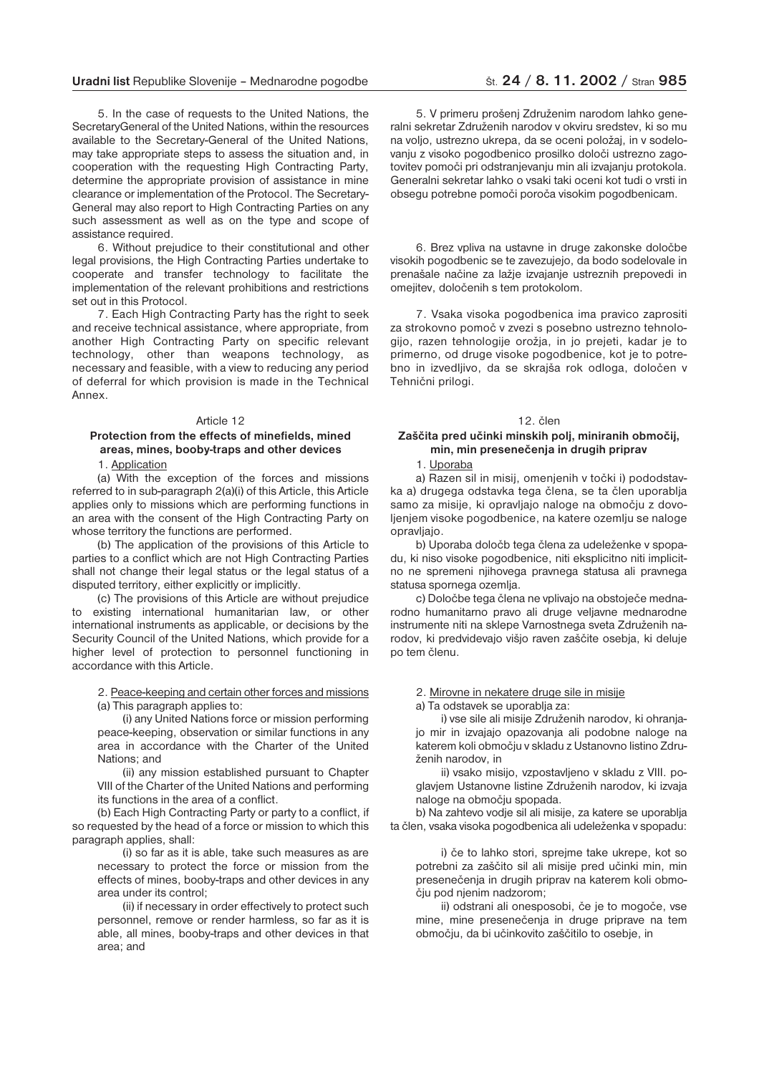### **Uradni list** Republike Slovenije – Mednarodne pogodbe  $\qquad \qquad$   $\qquad \qquad$   $\qquad$   $\qquad$   $\qquad$   $\qquad$   $\qquad$   $\qquad$   $\qquad$   $\qquad$   $\qquad$   $\qquad$   $\qquad$   $\qquad$   $\qquad$   $\qquad$   $\qquad$   $\qquad$   $\qquad$   $\qquad$   $\qquad$   $\qquad$   $\qquad$   $\qquad$   $\qquad$   $\qquad$   $\qquad$

5. In the case of requests to the United Nations, the SecretaryGeneral of the United Nations, within the resources available to the Secretary-General of the United Nations, may take appropriate steps to assess the situation and, in cooperation with the requesting High Contracting Party, determine the appropriate provision of assistance in mine clearance or implementation of the Protocol. The Secretary-General may also report to High Contracting Parties on any such assessment as well as on the type and scope of assistance required.

6. Without prejudice to their constitutional and other legal provisions, the High Contracting Parties undertake to cooperate and transfer technology to facilitate the implementation of the relevant prohibitions and restrictions set out in this Protocol.

7. Each High Contracting Party has the right to seek and receive technical assistance, where appropriate, from another High Contracting Party on specific relevant technology, other than weapons technology, as necessary and feasible, with a view to reducing any period of deferral for which provision is made in the Technical Annex.

#### Article 12

### **Protection from the effects of minefields, mined areas, mines, booby-traps and other devices**

1. Application

(a) With the exception of the forces and missions referred to in sub-paragraph 2(a)(i) of this Article, this Article applies only to missions which are performing functions in an area with the consent of the High Contracting Party on whose territory the functions are performed.

(b) The application of the provisions of this Article to parties to a conflict which are not High Contracting Parties shall not change their legal status or the legal status of a disputed territory, either explicitly or implicitly.

(c) The provisions of this Article are without prejudice to existing international humanitarian law, or other international instruments as applicable, or decisions by the Security Council of the United Nations, which provide for a higher level of protection to personnel functioning in accordance with this Article.

2. Peace-keeping and certain other forces and missions (a) This paragraph applies to:

(i) any United Nations force or mission performing peace-keeping, observation or similar functions in any area in accordance with the Charter of the United Nations; and

(ii) any mission established pursuant to Chapter VIII of the Charter of the United Nations and performing its functions in the area of a conflict.

(b) Each High Contracting Party or party to a conflict, if so requested by the head of a force or mission to which this paragraph applies, shall:

(i) so far as it is able, take such measures as are necessary to protect the force or mission from the effects of mines, booby-traps and other devices in any area under its control;

(ii) if necessary in order effectively to protect such personnel, remove or render harmless, so far as it is able, all mines, booby-traps and other devices in that area; and

5. V primeru prošenj Združenim narodom lahko generalni sekretar Združenih narodov v okviru sredstev, ki so mu na voljo, ustrezno ukrepa, da se oceni položaj, in v sodelovanju z visoko pogodbenico prosilko določi ustrezno zagotovitev pomoči pri odstranjevanju min ali izvajanju protokola. Generalni sekretar lahko o vsaki taki oceni kot tudi o vrsti in obsegu potrebne pomoči poroča visokim pogodbenicam.

6. Brez vpliva na ustavne in druge zakonske določbe visokih pogodbenic se te zavezujejo, da bodo sodelovale in prenašale načine za lažje izvajanje ustreznih prepovedi in omejitev, določenih s tem protokolom.

7. Vsaka visoka pogodbenica ima pravico zaprositi za strokovno pomoč v zvezi s posebno ustrezno tehnologijo, razen tehnologije orožja, in jo prejeti, kadar je to primerno, od druge visoke pogodbenice, kot je to potrebno in izvedljivo, da se skrajša rok odloga, določen v Tehnični prilogi.

#### 12. člen

### **Zaščita pred učinki minskih polj, miniranih območij, min, min presenečenja in drugih priprav**

#### 1. Uporaba

a) Razen sil in misij, omenjenih v točki i) pododstavka a) drugega odstavka tega člena, se ta člen uporablja samo za misije, ki opravljajo naloge na območju z dovoljenjem visoke pogodbenice, na katere ozemlju se naloge opravljajo.

b) Uporaba določb tega člena za udeleženke v spopadu, ki niso visoke pogodbenice, niti eksplicitno niti implicitno ne spremeni njihovega pravnega statusa ali pravnega statusa spornega ozemlja.

c) Določbe tega člena ne vplivajo na obstoječe mednarodno humanitarno pravo ali druge veljavne mednarodne instrumente niti na sklepe Varnostnega sveta Združenih narodov, ki predvidevajo višjo raven zaščite osebja, ki deluje po tem členu.

2. Mirovne in nekatere druge sile in misije

a) Ta odstavek se uporablja za:

i) vse sile ali misije Združenih narodov, ki ohranjajo mir in izvajajo opazovanja ali podobne naloge na katerem koli območju v skladu z Ustanovno listino Združenih narodov, in

ii) vsako misijo, vzpostavljeno v skladu z VIII. poglavjem Ustanovne listine Združenih narodov, ki izvaja naloge na območju spopada.

b) Na zahtevo vodje sil ali misije, za katere se uporablja ta člen, vsaka visoka pogodbenica ali udeleženka v spopadu:

i) če to lahko stori, sprejme take ukrepe, kot so potrebni za zaščito sil ali misije pred učinki min, min presenečenja in drugih priprav na katerem koli območju pod njenim nadzorom;

ii) odstrani ali onesposobi, če je to mogoče, vse mine, mine presenečenja in druge priprave na tem območju, da bi učinkovito zaščitilo to osebje, in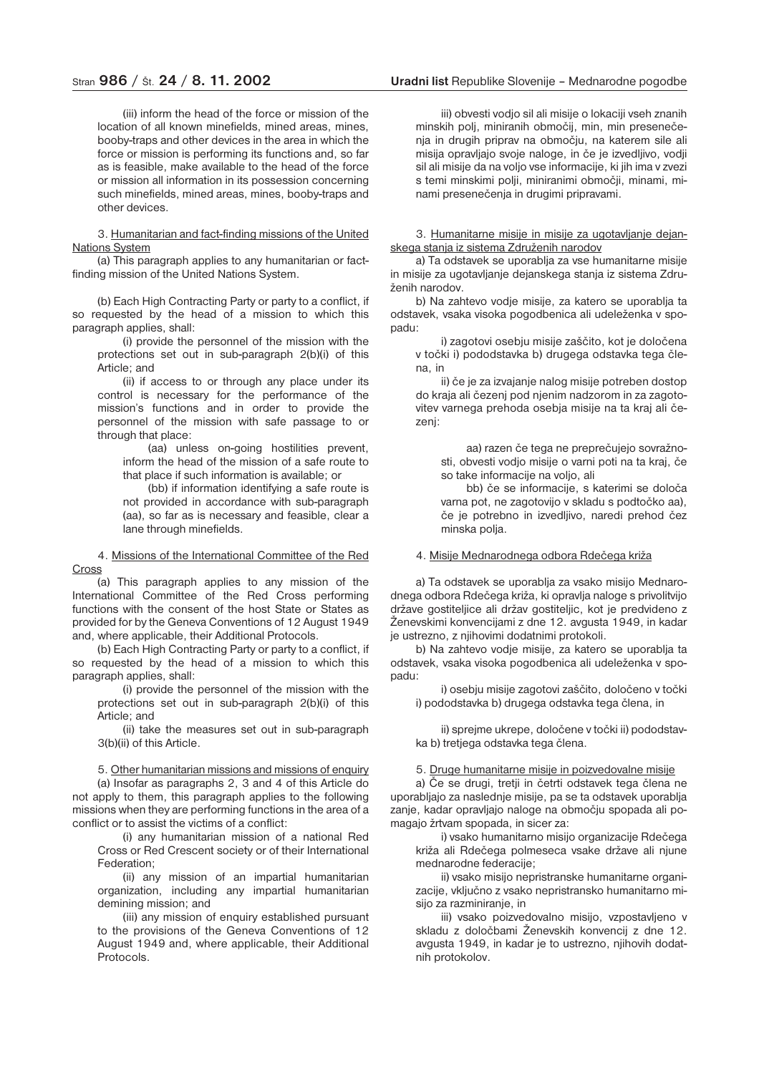(iii) inform the head of the force or mission of the location of all known minefields, mined areas, mines, booby-traps and other devices in the area in which the force or mission is performing its functions and, so far as is feasible, make available to the head of the force or mission all information in its possession concerning such minefields, mined areas, mines, booby-traps and other devices.

3. Humanitarian and fact-finding missions of the United Nations System

(a) This paragraph applies to any humanitarian or factfinding mission of the United Nations System.

(b) Each High Contracting Party or party to a conflict, if so requested by the head of a mission to which this paragraph applies, shall:

(i) provide the personnel of the mission with the protections set out in sub-paragraph 2(b)(i) of this Article; and

(ii) if access to or through any place under its control is necessary for the performance of the mission's functions and in order to provide the personnel of the mission with safe passage to or through that place:

(aa) unless on-going hostilities prevent, inform the head of the mission of a safe route to that place if such information is available; or

(bb) if information identifying a safe route is not provided in accordance with sub-paragraph (aa), so far as is necessary and feasible, clear a lane through minefields.

4. Missions of the International Committee of the Red Cross

(a) This paragraph applies to any mission of the International Committee of the Red Cross performing functions with the consent of the host State or States as provided for by the Geneva Conventions of 12 August 1949 and, where applicable, their Additional Protocols.

(b) Each High Contracting Party or party to a conflict, if so requested by the head of a mission to which this paragraph applies, shall:

(i) provide the personnel of the mission with the protections set out in sub-paragraph 2(b)(i) of this Article; and

(ii) take the measures set out in sub-paragraph 3(b)(ii) of this Article.

5. Other humanitarian missions and missions of enquiry (a) Insofar as paragraphs 2, 3 and 4 of this Article do not apply to them, this paragraph applies to the following missions when they are performing functions in the area of a conflict or to assist the victims of a conflict:

(i) any humanitarian mission of a national Red Cross or Red Crescent society or of their International Federation;

(ii) any mission of an impartial humanitarian organization, including any impartial humanitarian demining mission; and

(iii) any mission of enquiry established pursuant to the provisions of the Geneva Conventions of 12 August 1949 and, where applicable, their Additional Protocols.

iii) obvesti vodjo sil ali misije o lokaciji vseh znanih minskih polj, miniranih območij, min, min presenečenja in drugih priprav na območju, na katerem sile ali misija opravljajo svoje naloge, in če je izvedljivo, vodji sil ali misije da na voljo vse informacije, ki jih ima v zvezi s temi minskimi polji, miniranimi območji, minami, minami presenečenja in drugimi pripravami.

3. Humanitarne misije in misije za ugotavljanje dejanskega stanja iz sistema Združenih narodov

a) Ta odstavek se uporablja za vse humanitarne misije in misije za ugotavljanje dejanskega stanja iz sistema Združenih narodov.

b) Na zahtevo vodje misije, za katero se uporablja ta odstavek, vsaka visoka pogodbenica ali udeleženka v spopadu:

i) zagotovi osebju misije zaščito, kot je določena v točki i) pododstavka b) drugega odstavka tega člena, in

ii) če je za izvajanje nalog misije potreben dostop do kraja ali čezenj pod njenim nadzorom in za zagotovitev varnega prehoda osebja misije na ta kraj ali čezenj:

aa) razen če tega ne preprečujejo sovražnosti, obvesti vodjo misije o varni poti na ta kraj, če so take informacije na voljo, ali

bb) če se informacije, s katerimi se določa varna pot, ne zagotovijo v skladu s podtočko aa), če je potrebno in izvedljivo, naredi prehod čez minska polja.

### 4. Misije Mednarodnega odbora Rdečega križa

a) Ta odstavek se uporablja za vsako misijo Mednarodnega odbora Rdečega križa, ki opravlja naloge s privolitvijo države gostiteljice ali držav gostiteljic, kot je predvideno z Ženevskimi konvencijami z dne 12. avgusta 1949, in kadar je ustrezno, z njihovimi dodatnimi protokoli.

b) Na zahtevo vodje misije, za katero se uporablja ta odstavek, vsaka visoka pogodbenica ali udeleženka v spopadu:

i) osebju misije zagotovi zaščito, določeno v točki i) pododstavka b) drugega odstavka tega člena, in

ii) sprejme ukrepe, določene v točki ii) pododstavka b) tretjega odstavka tega člena.

5. Druge humanitarne misije in poizvedovalne misije

a) Če se drugi, tretji in četrti odstavek tega člena ne uporabljajo za naslednje misije, pa se ta odstavek uporablja zanje, kadar opravljajo naloge na območju spopada ali pomagajo žrtvam spopada, in sicer za:

i) vsako humanitarno misijo organizacije Rdečega križa ali Rdečega polmeseca vsake države ali njune mednarodne federacije;

ii) vsako misijo nepristranske humanitarne organizacije, vključno z vsako nepristransko humanitarno misijo za razminiranje, in

iii) vsako poizvedovalno misijo, vzpostavljeno v skladu z določbami Ženevskih konvencij z dne 12. avgusta 1949, in kadar je to ustrezno, njihovih dodatnih protokolov.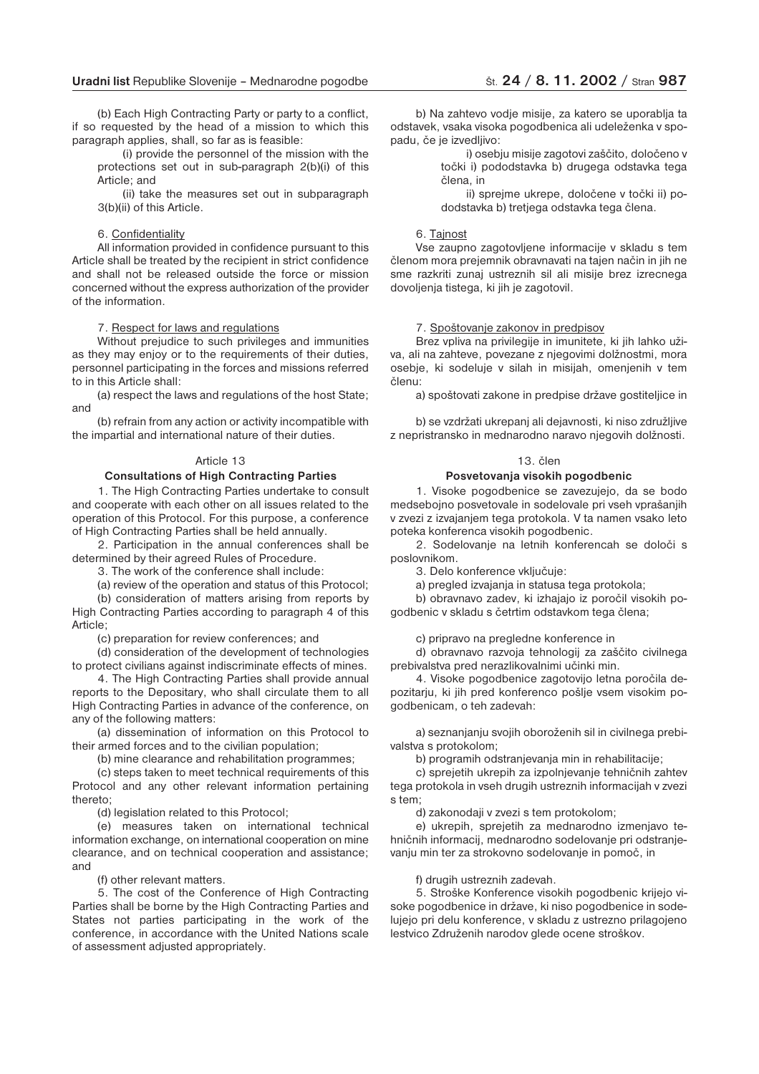(b) Each High Contracting Party or party to a conflict, if so requested by the head of a mission to which this paragraph applies, shall, so far as is feasible:

(i) provide the personnel of the mission with the protections set out in sub-paragraph 2(b)(i) of this Article; and

(ii) take the measures set out in subparagraph 3(b)(ii) of this Article.

#### 6. Confidentiality

All information provided in confidence pursuant to this Article shall be treated by the recipient in strict confidence and shall not be released outside the force or mission concerned without the express authorization of the provider of the information.

#### 7. Respect for laws and regulations

Without prejudice to such privileges and immunities as they may enjoy or to the requirements of their duties, personnel participating in the forces and missions referred to in this Article shall:

(a) respect the laws and regulations of the host State; and

(b) refrain from any action or activity incompatible with the impartial and international nature of their duties.

#### Article 13

#### **Consultations of High Contracting Parties**

1. The High Contracting Parties undertake to consult and cooperate with each other on all issues related to the operation of this Protocol. For this purpose, a conference of High Contracting Parties shall be held annually.

2. Participation in the annual conferences shall be determined by their agreed Rules of Procedure.

3. The work of the conference shall include:

(a) review of the operation and status of this Protocol;

(b) consideration of matters arising from reports by High Contracting Parties according to paragraph 4 of this Article;

(c) preparation for review conferences; and

(d) consideration of the development of technologies to protect civilians against indiscriminate effects of mines.

4. The High Contracting Parties shall provide annual reports to the Depositary, who shall circulate them to all High Contracting Parties in advance of the conference, on any of the following matters:

(a) dissemination of information on this Protocol to their armed forces and to the civilian population;

(b) mine clearance and rehabilitation programmes;

(c) steps taken to meet technical requirements of this Protocol and any other relevant information pertaining thereto;

(d) legislation related to this Protocol;

(e) measures taken on international technical information exchange, on international cooperation on mine clearance, and on technical cooperation and assistance; and

(f) other relevant matters.

5. The cost of the Conference of High Contracting Parties shall be borne by the High Contracting Parties and States not parties participating in the work of the conference, in accordance with the United Nations scale of assessment adjusted appropriately.

b) Na zahtevo vodje misije, za katero se uporablja ta odstavek, vsaka visoka pogodbenica ali udeleženka v spopadu, če je izvedljivo:

> i) osebju misije zagotovi zaščito, določeno v točki i) pododstavka b) drugega odstavka tega člena, in

> ii) sprejme ukrepe, določene v točki ii) pododstavka b) tretjega odstavka tega člena.

#### 6. Tajnost

Vse zaupno zagotovljene informacije v skladu s tem členom mora prejemnik obravnavati na tajen način in jih ne sme razkriti zunaj ustreznih sil ali misije brez izrecnega dovoljenja tistega, ki jih je zagotovil.

#### 7. Spoštovanje zakonov in predpisov

Brez vpliva na privilegije in imunitete, ki jih lahko uživa, ali na zahteve, povezane z njegovimi dolžnostmi, mora osebje, ki sodeluje v silah in misijah, omenjenih v tem členu:

a) spoštovati zakone in predpise države gostiteljice in

b) se vzdržati ukrepanj ali dejavnosti, ki niso združljive z nepristransko in mednarodno naravo njegovih dolžnosti.

#### 13. člen

#### **Posvetovanja visokih pogodbenic**

1. Visoke pogodbenice se zavezujejo, da se bodo medsebojno posvetovale in sodelovale pri vseh vprašanjih v zvezi z izvajanjem tega protokola. V ta namen vsako leto poteka konferenca visokih pogodbenic.

2. Sodelovanje na letnih konferencah se določi s poslovnikom.

3. Delo konference vključuje:

a) pregled izvajanja in statusa tega protokola;

b) obravnavo zadev, ki izhajajo iz poročil visokih pogodbenic v skladu s četrtim odstavkom tega člena;

c) pripravo na pregledne konference in

d) obravnavo razvoja tehnologij za zaščito civilnega prebivalstva pred nerazlikovalnimi učinki min.

4. Visoke pogodbenice zagotovijo letna poročila depozitarju, ki jih pred konferenco pošlje vsem visokim pogodbenicam, o teh zadevah:

a) seznanjanju svojih oboroženih sil in civilnega prebivalstva s protokolom;

b) programih odstranjevanja min in rehabilitacije;

c) sprejetih ukrepih za izpolnjevanje tehničnih zahtev tega protokola in vseh drugih ustreznih informacijah v zvezi s tem;

d) zakonodaji v zvezi s tem protokolom;

e) ukrepih, sprejetih za mednarodno izmenjavo tehničnih informacij, mednarodno sodelovanje pri odstranjevanju min ter za strokovno sodelovanje in pomoč, in

#### f) drugih ustreznih zadevah.

5. Stroške Konference visokih pogodbenic krijejo visoke pogodbenice in države, ki niso pogodbenice in sodelujejo pri delu konference, v skladu z ustrezno prilagojeno lestvico Združenih narodov glede ocene stroškov.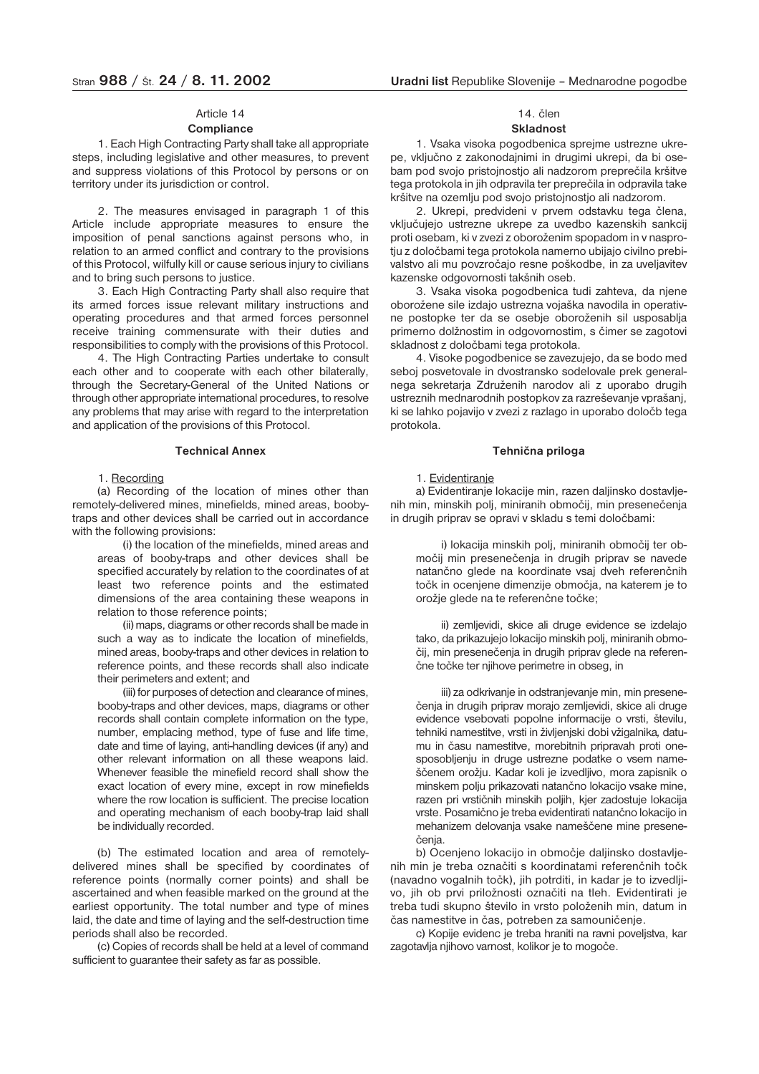# Article 14

### **Compliance**

1. Each High Contracting Party shall take all appropriate steps, including legislative and other measures, to prevent and suppress violations of this Protocol by persons or on territory under its jurisdiction or control.

2. The measures envisaged in paragraph 1 of this Article include appropriate measures to ensure the imposition of penal sanctions against persons who, in relation to an armed conflict and contrary to the provisions of this Protocol, wilfully kill or cause serious injury to civilians and to bring such persons to justice.

3. Each High Contracting Party shall also require that its armed forces issue relevant military instructions and operating procedures and that armed forces personnel receive training commensurate with their duties and responsibilities to comply with the provisions of this Protocol.

4. The High Contracting Parties undertake to consult each other and to cooperate with each other bilaterally, through the Secretary-General of the United Nations or through other appropriate international procedures, to resolve any problems that may arise with regard to the interpretation and application of the provisions of this Protocol.

#### **Technical Annex**

#### 1. Recording

(a) Recording of the location of mines other than remotely-delivered mines, minefields, mined areas, boobytraps and other devices shall be carried out in accordance with the following provisions:

(i) the location of the minefields, mined areas and areas of booby-traps and other devices shall be specified accurately by relation to the coordinates of at least two reference points and the estimated dimensions of the area containing these weapons in relation to those reference points;

(ii) maps, diagrams or other records shall be made in such a way as to indicate the location of minefields, mined areas, booby-traps and other devices in relation to reference points, and these records shall also indicate their perimeters and extent; and

(iii) for purposes of detection and clearance of mines, booby-traps and other devices, maps, diagrams or other records shall contain complete information on the type, number, emplacing method, type of fuse and life time, date and time of laying, anti-handling devices (if any) and other relevant information on all these weapons laid. Whenever feasible the minefield record shall show the exact location of every mine, except in row minefields where the row location is sufficient. The precise location and operating mechanism of each booby-trap laid shall be individually recorded.

(b) The estimated location and area of remotelydelivered mines shall be specified by coordinates of reference points (normally corner points) and shall be ascertained and when feasible marked on the ground at the earliest opportunity. The total number and type of mines laid, the date and time of laying and the self-destruction time periods shall also be recorded.

(c) Copies of records shall be held at a level of command sufficient to guarantee their safety as far as possible.

# 14. člen

### **Skladnost**

1. Vsaka visoka pogodbenica sprejme ustrezne ukrepe, vključno z zakonodajnimi in drugimi ukrepi, da bi osebam pod svojo pristojnostjo ali nadzorom preprečila kršitve tega protokola in jih odpravila ter preprečila in odpravila take kršitve na ozemlju pod svojo pristojnostjo ali nadzorom.

2. Ukrepi, predvideni v prvem odstavku tega člena, vključujejo ustrezne ukrepe za uvedbo kazenskih sankcij proti osebam, ki v zvezi z oboroženim spopadom in v nasprotju z določbami tega protokola namerno ubijajo civilno prebivalstvo ali mu povzročajo resne poškodbe, in za uveljavitev kazenske odgovornosti takšnih oseb.

3. Vsaka visoka pogodbenica tudi zahteva, da njene oborožene sile izdajo ustrezna vojaška navodila in operativne postopke ter da se osebje oboroženih sil usposablja primerno dolžnostim in odgovornostim, s čimer se zagotovi skladnost z določbami tega protokola.

4. Visoke pogodbenice se zavezujejo, da se bodo med seboj posvetovale in dvostransko sodelovale prek generalnega sekretarja Združenih narodov ali z uporabo drugih ustreznih mednarodnih postopkov za razreševanje vprašanj, ki se lahko pojavijo v zvezi z razlago in uporabo določb tega protokola.

#### **Tehnična priloga**

#### 1. Evidentiranje

a) Evidentiranje lokacije min, razen daljinsko dostavljenih min, minskih polj, miniranih območij, min presenečenja in drugih priprav se opravi v skladu s temi določbami:

i) lokacija minskih polj, miniranih območij ter območij min presenečenja in drugih priprav se navede natančno glede na koordinate vsaj dveh referenčnih točk in ocenjene dimenzije območja, na katerem je to orožje glede na te referenčne točke;

ii) zemljevidi, skice ali druge evidence se izdelajo tako, da prikazujejo lokacijo minskih polj, miniranih območij, min presenečenja in drugih priprav glede na referenčne točke ter njihove perimetre in obseg, in

iii) za odkrivanje in odstranjevanje min, min presenečenja in drugih priprav morajo zemljevidi, skice ali druge evidence vsebovati popolne informacije o vrsti, številu, tehniki namestitve, vrsti in življenjski dobi vžigalnika*,* datumu in času namestitve, morebitnih pripravah proti onesposobljenju in druge ustrezne podatke o vsem nameščenem orožju. Kadar koli je izvedljivo, mora zapisnik o minskem polju prikazovati natančno lokacijo vsake mine, razen pri vrstičnih minskih poljih, kjer zadostuje lokacija vrste. Posamično je treba evidentirati natančno lokacijo in mehanizem delovanja vsake nameščene mine presenečenja.

b) Ocenjeno lokacijo in območje daljinsko dostavljenih min je treba označiti s koordinatami referenčnih točk (navadno vogalnih točk), jih potrditi, in kadar je to izvedljivo, jih ob prvi priložnosti označiti na tleh. Evidentirati je treba tudi skupno število in vrsto položenih min, datum in čas namestitve in čas, potreben za samouničenje.

c) Kopije evidenc je treba hraniti na ravni poveljstva, kar zagotavlja njihovo varnost, kolikor je to mogoče.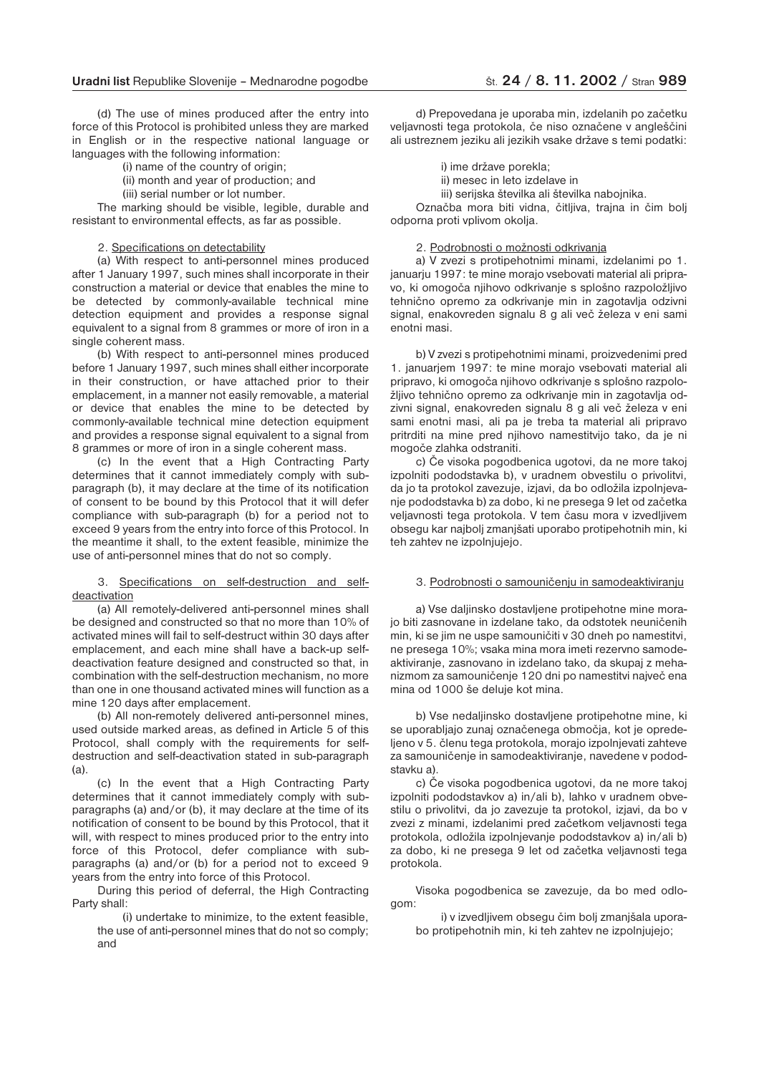(d) The use of mines produced after the entry into force of this Protocol is prohibited unless they are marked in English or in the respective national language or languages with the following information:

(i) name of the country of origin;

(ii) month and year of production; and

(iii) serial number or lot number.

The marking should be visible, legible, durable and resistant to environmental effects, as far as possible.

#### 2. Specifications on detectability

(a) With respect to anti-personnel mines produced after 1 January 1997, such mines shall incorporate in their construction a material or device that enables the mine to be detected by commonly-available technical mine detection equipment and provides a response signal equivalent to a signal from 8 grammes or more of iron in a single coherent mass.

(b) With respect to anti-personnel mines produced before 1 January 1997, such mines shall either incorporate in their construction, or have attached prior to their emplacement, in a manner not easily removable, a material or device that enables the mine to be detected by commonly-available technical mine detection equipment and provides a response signal equivalent to a signal from 8 grammes or more of iron in a single coherent mass.

(c) In the event that a High Contracting Party determines that it cannot immediately comply with subparagraph (b), it may declare at the time of its notification of consent to be bound by this Protocol that it will defer compliance with sub-paragraph (b) for a period not to exceed 9 years from the entry into force of this Protocol. In the meantime it shall, to the extent feasible, minimize the use of anti-personnel mines that do not so comply.

#### 3. Specifications on self-destruction and selfdeactivation

(a) All remotely-delivered anti-personnel mines shall be designed and constructed so that no more than 10% of activated mines will fail to self-destruct within 30 days after emplacement, and each mine shall have a back-up selfdeactivation feature designed and constructed so that, in combination with the self-destruction mechanism, no more than one in one thousand activated mines will function as a mine 120 days after emplacement.

(b) All non-remotely delivered anti-personnel mines, used outside marked areas, as defined in Article 5 of this Protocol, shall comply with the requirements for selfdestruction and self-deactivation stated in sub-paragraph (a).

(c) In the event that a High Contracting Party determines that it cannot immediately comply with subparagraphs (a) and/or (b), it may declare at the time of its notification of consent to be bound by this Protocol, that it will, with respect to mines produced prior to the entry into force of this Protocol, defer compliance with subparagraphs (a) and/or (b) for a period not to exceed 9 years from the entry into force of this Protocol.

During this period of deferral, the High Contracting Party shall:

(i) undertake to minimize, to the extent feasible, the use of anti-personnel mines that do not so comply; and

d) Prepovedana je uporaba min, izdelanih po začetku veljavnosti tega protokola, če niso označene v angleščini ali ustreznem jeziku ali jezikih vsake države s temi podatki:

i) ime države porekla;

ii) mesec in leto izdelave in

iii) serijska številka ali številka nabojnika.

Označba mora biti vidna, čitljiva, trajna in čim bolj odporna proti vplivom okolja.

2. Podrobnosti o možnosti odkrivanja

a) V zvezi s protipehotnimi minami, izdelanimi po 1. januarju 1997: te mine morajo vsebovati material ali pripravo, ki omogoča njihovo odkrivanje s splošno razpoložljivo tehnično opremo za odkrivanje min in zagotavlja odzivni signal, enakovreden signalu 8 g ali več železa v eni sami enotni masi.

b) V zvezi s protipehotnimi minami, proizvedenimi pred 1. januarjem 1997: te mine morajo vsebovati material ali pripravo, ki omogoča njihovo odkrivanje s splošno razpoložljivo tehnično opremo za odkrivanje min in zagotavlja odzivni signal, enakovreden signalu 8 g ali več železa v eni sami enotni masi, ali pa je treba ta material ali pripravo pritrditi na mine pred njihovo namestitvijo tako, da je ni mogoče zlahka odstraniti.

c) Če visoka pogodbenica ugotovi, da ne more takoj izpolniti pododstavka b), v uradnem obvestilu o privolitvi, da jo ta protokol zavezuje, izjavi, da bo odložila izpolnjevanje pododstavka b) za dobo, ki ne presega 9 let od začetka veljavnosti tega protokola. V tem času mora v izvedljivem obsegu kar najbolj zmanjšati uporabo protipehotnih min, ki teh zahtev ne izpolnjujejo.

#### 3. Podrobnosti o samouničenju in samodeaktiviranju

a) Vse daljinsko dostavljene protipehotne mine morajo biti zasnovane in izdelane tako, da odstotek neuničenih min, ki se jim ne uspe samouničiti v 30 dneh po namestitvi, ne presega 10%; vsaka mina mora imeti rezervno samodeaktiviranje, zasnovano in izdelano tako, da skupaj z mehanizmom za samouničenje 120 dni po namestitvi največ ena mina od 1000 še deluje kot mina.

b) Vse nedaljinsko dostavljene protipehotne mine, ki se uporabljajo zunaj označenega območja, kot je opredeljeno v 5. členu tega protokola, morajo izpolnjevati zahteve za samouničenje in samodeaktiviranje, navedene v pododstavku a).

c) Če visoka pogodbenica ugotovi, da ne more takoj izpolniti pododstavkov a) in/ali b), lahko v uradnem obvestilu o privolitvi, da jo zavezuje ta protokol, izjavi, da bo v zvezi z minami, izdelanimi pred začetkom veljavnosti tega protokola, odložila izpolnjevanje pododstavkov a) in/ali b) za dobo, ki ne presega 9 let od začetka veljavnosti tega protokola.

Visoka pogodbenica se zavezuje, da bo med odlogom:

i) v izvedljivem obsegu čim bolj zmanjšala uporabo protipehotnih min, ki teh zahtev ne izpolnjujejo;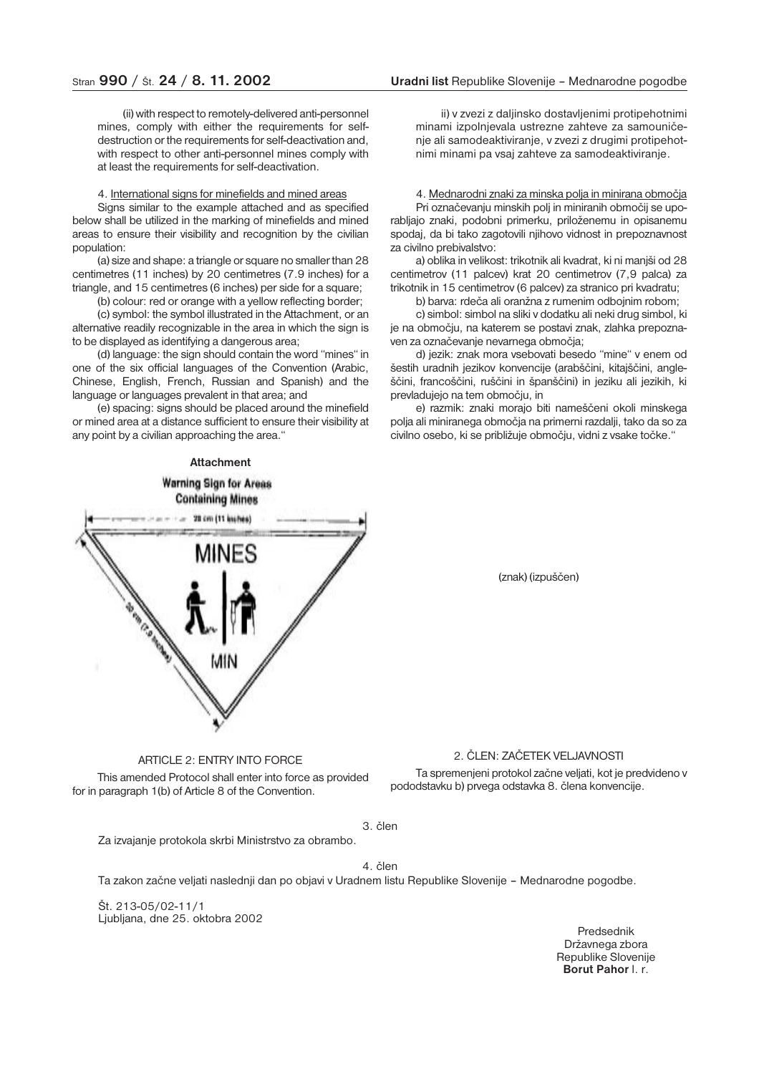### Stran **990** / Št. **24** / **8. 11. 2002 Uradni list** Republike Slovenije – Mednarodne pogodbe

(ii) with respect to remotely-delivered anti-personnel mines, comply with either the requirements for selfdestruction or the requirements for self-deactivation and, with respect to other anti-personnel mines comply with at least the requirements for self-deactivation.

### 4. International signs for minefields and mined areas

Signs similar to the example attached and as specified below shall be utilized in the marking of minefields and mined areas to ensure their visibility and recognition by the civilian population:

(a) size and shape: a triangle or square no smaller than 28 centimetres (11 inches) by 20 centimetres (7.9 inches) for a triangle, and 15 centimetres (6 inches) per side for a square;

(b) colour: red or orange with a yellow reflecting border;

(c) symbol: the symbol illustrated in the Attachment, or an alternative readily recognizable in the area in which the sign is to be displayed as identifying a dangerous area;

(d) language: the sign should contain the word "mines" in one of the six official languages of the Convention (Arabic, Chinese, English, French, Russian and Spanish) and the language or languages prevalent in that area; and

(e) spacing: signs should be placed around the minefield or mined area at a distance sufficient to ensure their visibility at any point by a civilian approaching the area."

**Attachment Warning Sign for Areas Containing Mines** 28 cm (11 inches) MINES

ii) v zvezi z daljinsko dostavljenimi protipehotnimi minami izpolnjevala ustrezne zahteve za samouničenje ali samodeaktiviranje, v zvezi z drugimi protipehotnimi minami pa vsaj zahteve za samodeaktiviranje.

### 4. Mednarodni znaki za minska polja in minirana območja Pri označevanju minskih polj in miniranih območij se uporabljajo znaki, podobni primerku, priloženemu in opisanemu spodaj, da bi tako zagotovili njihovo vidnost in prepoznavnost za civilno prebivalstvo:

a) oblika in velikost: trikotnik ali kvadrat, ki ni manjši od 28 centimetrov (11 palcev) krat 20 centimetrov (7,9 palca) za trikotnik in 15 centimetrov (6 palcev) za stranico pri kvadratu;

b) barva: rdeča ali oranžna z rumenim odbojnim robom;

c) simbol: simbol na sliki v dodatku ali neki drug simbol, ki je na območju, na katerem se postavi znak, zlahka prepoznaven za označevanje nevarnega območja;

d) jezik: znak mora vsebovati besedo "mine" v enem od šestih uradnih jezikov konvencije (arabščini, kitajščini, angleščini, francoščini, ruščini in španščini) in jeziku ali jezikih, ki prevladujejo na tem območju, in

e) razmik: znaki morajo biti nameščeni okoli minskega polja ali miniranega območja na primerni razdalji, tako da so za civilno osebo, ki se približuje območju, vidni z vsake točke."

(znak) (izpuščen)

### ARTICLE 2: ENTRY INTO FORCE

This amended Protocol shall enter into force as provided for in paragraph 1(b) of Article 8 of the Convention.

### 2. ČLEN: ZAČETEK VELJAVNOSTI

Ta spremenjeni protokol začne veljati, kot je predvideno v pododstavku b) prvega odstavka 8. člena konvencije.

#### 3. člen

Za izvajanje protokola skrbi Ministrstvo za obrambo.

### 4. člen

Ta zakon začne veljati naslednji dan po objavi v Uradnem listu Republike Slovenije – Mednarodne pogodbe.

Št. 213-05/02-11/1 Ljubljana, dne 25. oktobra 2002

Predsednik Državnega zbora Republike Slovenije **Borut Pahor** l. r.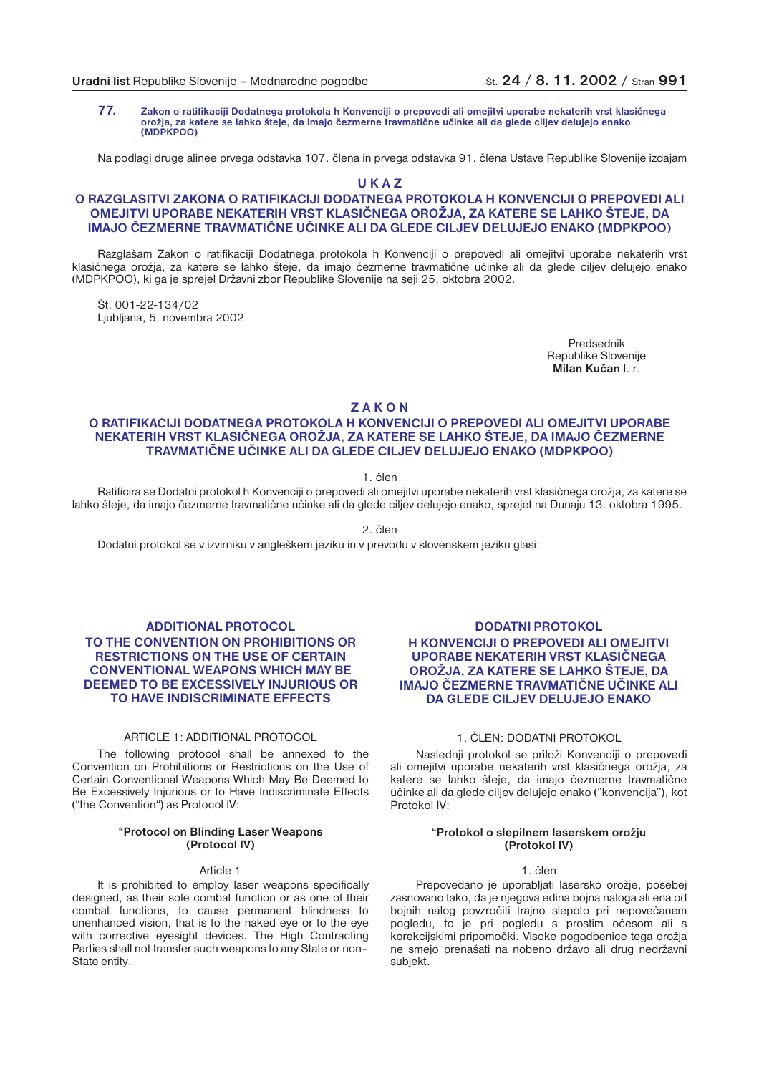**77. Zakon o ratifikaciji Dodatnega protokola h Konvenciji o prepovedi ali omejitvi uporabe nekaterih vrst klasičnega orožja, za katere se lahko šteje, da imajo čezmerne travmatične učinke ali da glede ciljev delujejo enako (MDPKPOO)**

Na podlagi druge alinee prvega odstavka 107. člena in prvega odstavka 91. člena Ustave Republike Slovenije izdajam

**U K A Z**

### **O RAZGLASITVI ZAKONA O RATIFIKACIJI DODATNEGA PROTOKOLA H KONVENCIJI O PREPOVEDI ALI OMEJITVI UPORABE NEKATERIH VRST KLASIČNEGA OROŽJA, ZA KATERE SE LAHKO ŠTEJE, DA IMAJO ČEZMERNE TRAVMATIČNE UČINKE ALI DA GLEDE CILJEV DELUJEJO ENAKO (MDPKPOO)**

Razglašam Zakon o ratifikaciji Dodatnega protokola h Konvenciji o prepovedi ali omejitvi uporabe nekaterih vrst klasičnega orožja, za katere se lahko šteje, da imajo čezmerne travmatične učinke ali da glede ciljev delujejo enako (MDPKPOO), ki ga je sprejel Državni zbor Republike Slovenije na seji 25. oktobra 2002.

Št. 001-22-134/02 Ljubljana, 5. novembra 2002

> Predsednik Republike Slovenije **Milan Kučan** l. r.

**Z A K O N**

### **O RATIFIKACIJI DODATNEGA PROTOKOLA H KONVENCIJI O PREPOVEDI ALI OMEJITVI UPORABE NEKATERIH VRST KLASIČNEGA OROŽJA, ZA KATERE SE LAHKO ŠTEJE, DA IMAJO ČEZMERNE TRAVMATIČNE UČINKE ALI DA GLEDE CILJEV DELUJEJO ENAKO (MDPKPOO)**

1. člen

Ratificira se Dodatni protokol h Konvenciji o prepovedi ali omejitvi uporabe nekaterih vrst klasičnega orožja, za katere se lahko šteje, da imajo čezmerne travmatične učinke ali da glede ciljev delujejo enako, sprejet na Dunaju 13. oktobra 1995.

2. člen

Dodatni protokol se v izvirniku v angleškem jeziku in v prevodu v slovenskem jeziku glasi:

### **ADDITIONAL PROTOCOL TO THE CONVENTION ON PROHIBITIONS OR RESTRICTIONS ON THE USE OF CERTAIN CONVENTIONAL WEAPONS WHICH MAY BE DEEMED TO BE EXCESSIVELY INJURIOUS OR TO HAVE INDISCRIMINATE EFFECTS**

### ARTICLE 1: ADDITIONAL PROTOCOL

The following protocol shall be annexed to the Convention on Prohibitions or Restrictions on the Use of Certain Conventional Weapons Which May Be Deemed to Be Excessively Injurious or to Have Indiscriminate Effects ("the Convention") as Protocol IV:

### **"Protocol on Blinding Laser Weapons (Protocol IV)**

#### Article 1

It is prohibited to employ laser weapons specifically designed, as their sole combat function or as one of their combat functions, to cause permanent blindness to unenhanced vision, that is to the naked eye or to the eye with corrective eyesight devices. The High Contracting Parties shall not transfer such weapons to any State or non– State entity.

### **DODATNI PROTOKOL H KONVENCIJI O PREPOVEDI ALI OMEJITVI UPORABE NEKATERIH VRST KLASIČNEGA OROŽJA, ZA KATERE SE LAHKO ŠTEJE, DA IMAJO ČEZMERNE TRAVMATIČNE UČINKE ALI DA GLEDE CILJEV DELUJEJO ENAKO**

### 1. ČLEN: DODATNI PROTOKOL

Naslednji protokol se priloži Konvenciji o prepovedi ali omejitvi uporabe nekaterih vrst klasičnega orožja, za katere se lahko šteje, da imajo čezmerne travmatične učinke ali da glede ciljev delujejo enako (''konvencija''), kot Protokol IV:

#### **"Protokol o slepilnem laserskem orožju (Protokol IV)**

### 1. člen

Prepovedano je uporabljati lasersko orožje, posebej zasnovano tako, da je njegova edina bojna naloga ali ena od bojnih nalog povzročiti trajno slepoto pri nepovečanem pogledu, to je pri pogledu s prostim očesom ali s korekcijskimi pripomočki. Visoke pogodbenice tega orožja ne smejo prenašati na nobeno državo ali drug nedržavni subjekt.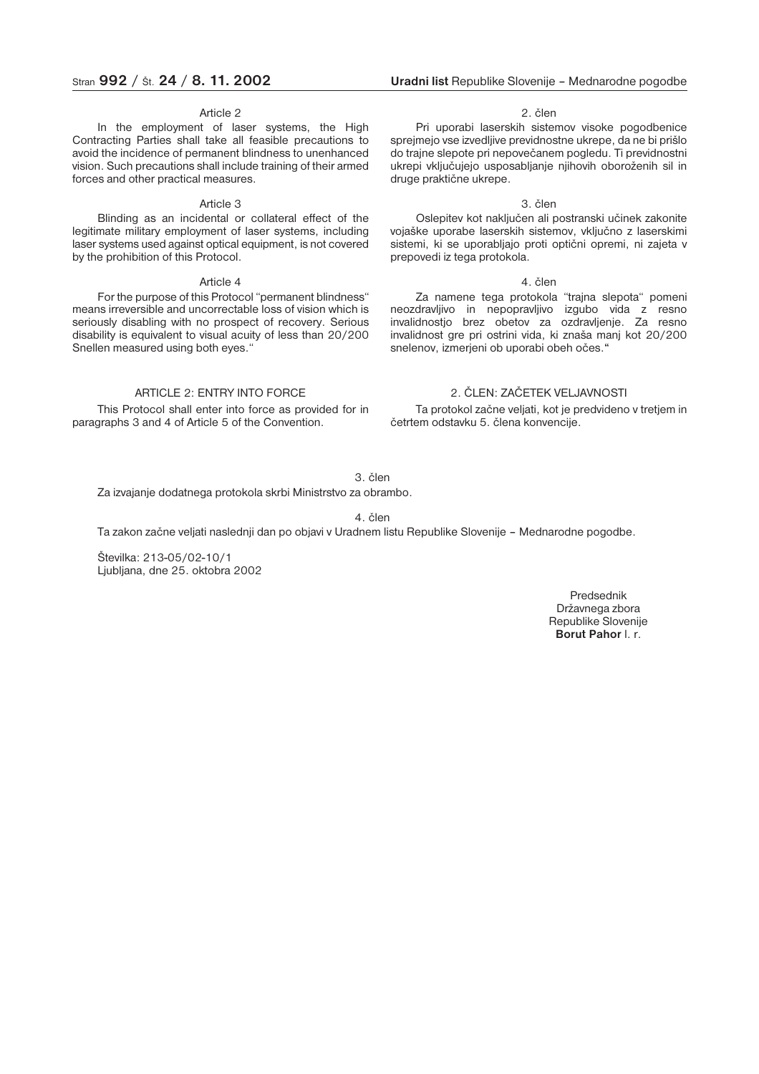#### Article 2

In the employment of laser systems, the High Contracting Parties shall take all feasible precautions to avoid the incidence of permanent blindness to unenhanced vision. Such precautions shall include training of their armed forces and other practical measures.

#### Article 3

Blinding as an incidental or collateral effect of the legitimate military employment of laser systems, including laser systems used against optical equipment, is not covered by the prohibition of this Protocol.

#### Article 4

For the purpose of this Protocol "permanent blindness" means irreversible and uncorrectable loss of vision which is seriously disabling with no prospect of recovery. Serious disability is equivalent to visual acuity of less than 20/200 Snellen measured using both eyes."

#### ARTICLE 2: ENTRY INTO FORCE

This Protocol shall enter into force as provided for in paragraphs 3 and 4 of Article 5 of the Convention.

### Stran **992** / Št. **24** / **8. 11. 2002 Uradni list** Republike Slovenije – Mednarodne pogodbe

#### 2. člen

Pri uporabi laserskih sistemov visoke pogodbenice sprejmejo vse izvedljive previdnostne ukrepe, da ne bi prišlo do trajne slepote pri nepovečanem pogledu. Ti previdnostni ukrepi vključujejo usposabljanje njihovih oboroženih sil in druge praktične ukrepe.

#### 3. člen

Oslepitev kot naključen ali postranski učinek zakonite vojaške uporabe laserskih sistemov, vključno z laserskimi sistemi, ki se uporabljajo proti optični opremi, ni zajeta v prepovedi iz tega protokola.

#### 4. člen

Za namene tega protokola "trajna slepota" pomeni neozdravljivo in nepopravljivo izgubo vida z resno invalidnostjo brez obetov za ozdravljenje. Za resno invalidnost gre pri ostrini vida, ki znaša manj kot 20/200 snelenov, izmerjeni ob uporabi obeh očes.**"**

### 2. ČLEN: ZAČETEK VELJAVNOSTI

Ta protokol začne veljati, kot je predvideno v tretjem in četrtem odstavku 5. člena konvencije.

3. člen

Za izvajanje dodatnega protokola skrbi Ministrstvo za obrambo.

4. člen

Ta zakon začne veljati naslednji dan po objavi v Uradnem listu Republike Slovenije – Mednarodne pogodbe.

Številka: 213-05/02-10/1 Ljubljana, dne 25. oktobra 2002

> Predsednik Državnega zbora Republike Slovenije **Borut Pahor** l. r.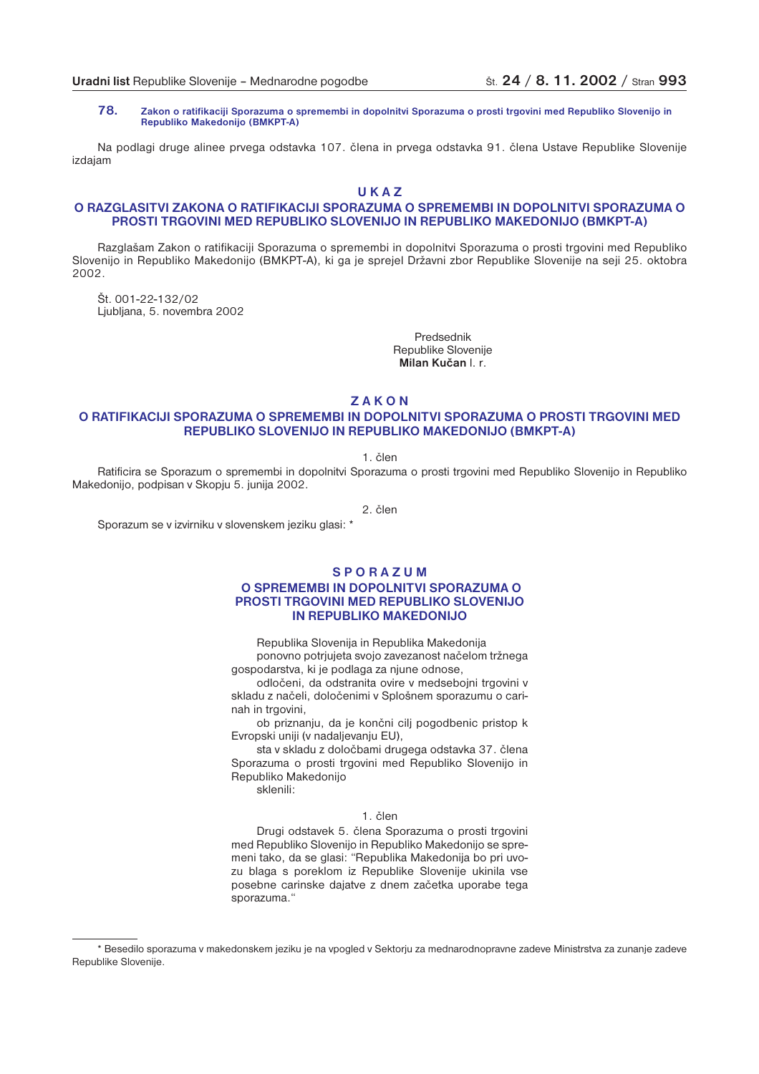**78. Zakon o ratifikaciji Sporazuma o spremembi in dopolnitvi Sporazuma o prosti trgovini med Republiko Slovenijo in Republiko Makedonijo (BMKPT-A)**

Na podlagi druge alinee prvega odstavka 107. člena in prvega odstavka 91. člena Ustave Republike Slovenije izdajam

**U K A Z**

### **O RAZGLASITVI ZAKONA O RATIFIKACIJI SPORAZUMA O SPREMEMBI IN DOPOLNITVI SPORAZUMA O PROSTI TRGOVINI MED REPUBLIKO SLOVENIJO IN REPUBLIKO MAKEDONIJO (BMKPT-A)**

Razglašam Zakon o ratifikaciji Sporazuma o spremembi in dopolnitvi Sporazuma o prosti trgovini med Republiko Slovenijo in Republiko Makedonijo (BMKPT-A), ki ga je sprejel Državni zbor Republike Slovenije na seji 25. oktobra 2002.

Št. 001-22-132/02 Ljubljana, 5. novembra 2002

> Predsednik Republike Slovenije **Milan Kučan** l. r.

**Z A K O N**

### **O RATIFIKACIJI SPORAZUMA O SPREMEMBI IN DOPOLNITVI SPORAZUMA O PROSTI TRGOVINI MED REPUBLIKO SLOVENIJO IN REPUBLIKO MAKEDONIJO (BMKPT-A)**

1. člen

Ratificira se Sporazum o spremembi in dopolnitvi Sporazuma o prosti trgovini med Republiko Slovenijo in Republiko Makedonijo, podpisan v Skopju 5. junija 2002.

2. člen

Sporazum se v izvirniku v slovenskem jeziku glasi: \*

### **S P O R A Z U M**

### **O SPREMEMBI IN DOPOLNITVI SPORAZUMA O PROSTI TRGOVINI MED REPUBLIKO SLOVENIJO IN REPUBLIKO MAKEDONIJO**

Republika Slovenija in Republika Makedonija

ponovno potrjujeta svojo zavezanost načelom tržnega gospodarstva, ki je podlaga za njune odnose,

odločeni, da odstranita ovire v medsebojni trgovini v skladu z načeli, določenimi v Splošnem sporazumu o carinah in trgovini,

ob priznanju, da je končni cilj pogodbenic pristop k Evropski uniji (v nadaljevanju EU),

sta v skladu z določbami drugega odstavka 37. člena Sporazuma o prosti trgovini med Republiko Slovenijo in Republiko Makedonijo

sklenili:

### 1. člen

Drugi odstavek 5. člena Sporazuma o prosti trgovini med Republiko Slovenijo in Republiko Makedonijo se spremeni tako, da se glasi: "Republika Makedonija bo pri uvozu blaga s poreklom iz Republike Slovenije ukinila vse posebne carinske dajatve z dnem začetka uporabe tega sporazuma."

<sup>\*</sup> Besedilo sporazuma v makedonskem jeziku je na vpogled v Sektorju za mednarodnopravne zadeve Ministrstva za zunanje zadeve Republike Slovenije.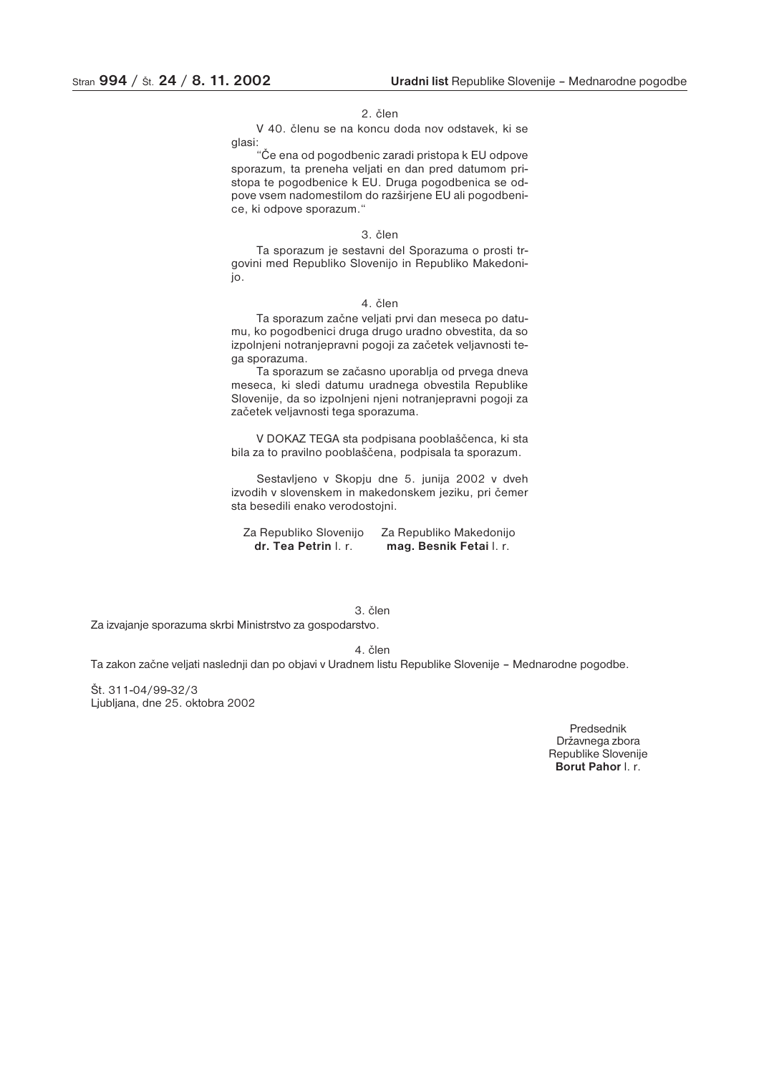#### 2. člen

V 40. členu se na koncu doda nov odstavek, ki se glasi:

"Če ena od pogodbenic zaradi pristopa k EU odpove sporazum, ta preneha veljati en dan pred datumom pristopa te pogodbenice k EU. Druga pogodbenica se odpove vsem nadomestilom do razširjene EU ali pogodbenice, ki odpove sporazum."

### 3. člen

Ta sporazum je sestavni del Sporazuma o prosti trgovini med Republiko Slovenijo in Republiko Makedonijo.

#### 4. člen

Ta sporazum začne veljati prvi dan meseca po datumu, ko pogodbenici druga drugo uradno obvestita, da so izpolnjeni notranjepravni pogoji za začetek veljavnosti tega sporazuma.

Ta sporazum se začasno uporablja od prvega dneva meseca, ki sledi datumu uradnega obvestila Republike Slovenije, da so izpolnjeni njeni notranjepravni pogoji za začetek veljavnosti tega sporazuma.

V DOKAZ TEGA sta podpisana pooblaščenca, ki sta bila za to pravilno pooblaščena, podpisala ta sporazum.

Sestavljeno v Skopju dne 5. junija 2002 v dveh izvodih v slovenskem in makedonskem jeziku, pri čemer sta besedili enako verodostojni.

Za Republiko Slovenijo Za Republiko Makedonijo<br>**dr. Tea Petrin** I. r. **mag. Besnik Fetai** I. r. **dr. Tea Petrin** l. r. **mag. Besnik Fetai** l. r.

### 3. člen

Za izvajanje sporazuma skrbi Ministrstvo za gospodarstvo.

4. člen

Ta zakon začne veljati naslednji dan po objavi v Uradnem listu Republike Slovenije – Mednarodne pogodbe.

Št. 311-04/99-32/3 Ljubljana, dne 25. oktobra 2002

> Predsednik Državnega zbora Republike Slovenije **Borut Pahor** l. r.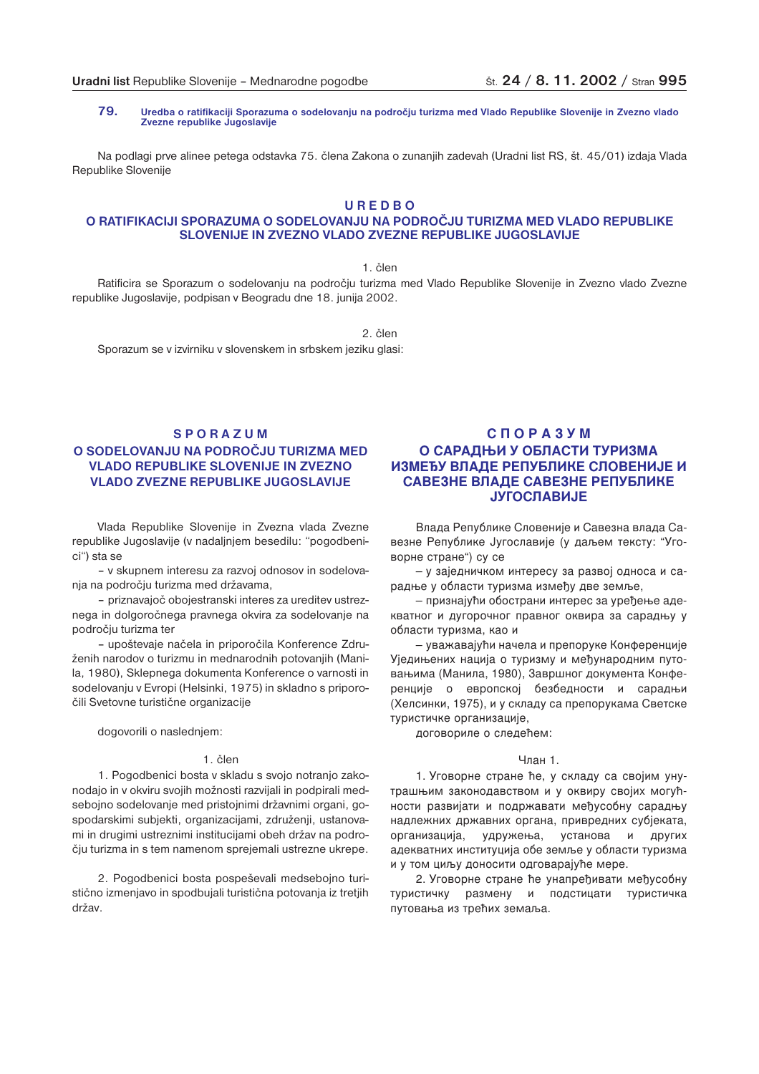**79. Uredba o ratifikaciji Sporazuma o sodelovanju na področju turizma med Vlado Republike Slovenije in Zvezno vlado Zvezne republike Jugoslavije**

Na podlagi prve alinee petega odstavka 75. člena Zakona o zunanjih zadevah (Uradni list RS, št. 45/01) izdaja Vlada Republike Slovenije

### **U R E D B O**

### **O RATIFIKACIJI SPORAZUMA O SODELOVANJU NA PODROČJU TURIZMA MED VLADO REPUBLIKE SLOVENIJE IN ZVEZNO VLADO ZVEZNE REPUBLIKE JUGOSLAVIJE**

1. člen

Ratificira se Sporazum o sodelovanju na področju turizma med Vlado Republike Slovenije in Zvezno vlado Zvezne republike Jugoslavije, podpisan v Beogradu dne 18. junija 2002.

2. člen Sporazum se v izvirniku v slovenskem in srbskem jeziku glasi:

### **S P O R A Z U M O SODELOVANJU NA PODROČJU TURIZMA MED VLADO REPUBLIKE SLOVENIJE IN ZVEZNO VLADO ZVEZNE REPUBLIKE JUGOSLAVIJE**

Vlada Republike Slovenije in Zvezna vlada Zvezne republike Jugoslavije (v nadaljnjem besedilu: "pogodbenici") sta se

– v skupnem interesu za razvoj odnosov in sodelovanja na področju turizma med državama,

– priznavajoč obojestranski interes za ureditev ustreznega in dolgoročnega pravnega okvira za sodelovanje na področju turizma ter

– upoštevaje načela in priporočila Konference Združenih narodov o turizmu in mednarodnih potovanjih (Manila, 1980), Sklepnega dokumenta Konference o varnosti in sodelovanju v Evropi (Helsinki, 1975) in skladno s priporočili Svetovne turistične organizacije

dogovorili o naslednjem:

### 1. člen

1. Pogodbenici bosta v skladu s svojo notranjo zakonodajo in v okviru svojih možnosti razvijali in podpirali medsebojno sodelovanje med pristojnimi državnimi organi, gospodarskimi subjekti, organizacijami, združenij, ustanovami in drugimi ustreznimi institucijami obeh držav na področju turizma in s tem namenom sprejemali ustrezne ukrepe.

2. Pogodbenici bosta pospeševali medsebojno turistično izmenjavo in spodbujali turistična potovanja iz tretjih držav.

### **СПОРАЗУМ** О САРАДЊИ У ОБЛАСТИ ТУРИЗМА <u>ИЗМЕЂУ ВЛАДЕ РЕПУБЛИКЕ СЛОВЕНИЈЕ И</u> САВЕЗНЕ ВЛАДЕ САВЕЗНЕ РЕПУБЛИКЕ **ЈУГОСЛАВИЈЕ**

Влада Републике Словеније и Савезна влада Савезне Републике Југославије (у даљем тексту: "Уговорне стране") су се

– у заједничком интересу за развој односа и сарадње у области туризма између две земље,

– признајући обострани интерес за уређење адекватног и дугорочног правног оквира за сарадњу у области туризма, као и

— уважавајући начела и препоруке Конференције Уједињених нација о туризму и међународним путовањима (Манила, 1980), Завршног документа Конференције о европској безбедности и сарадњи (Хелсинки, 1975), и у складу са препорукама Светске туристичке организације,

договориле о следећем:

#### Члан 1.

1. Уговорне стране ће, у складу са својим унутрашњим законодавством и у оквиру својих могућности развијати и подржавати међусобну сарадњу надлежних државних органа, привредних субјеката, организаци ја, удружења, установа и других адекватних институција обе земље у области туризма и у том циљу доносити одговарајуће мере.

2. Уговорне стране ће унапређивати међусобну туристичку размену и подстицати туристичка путовања из трећих земаља.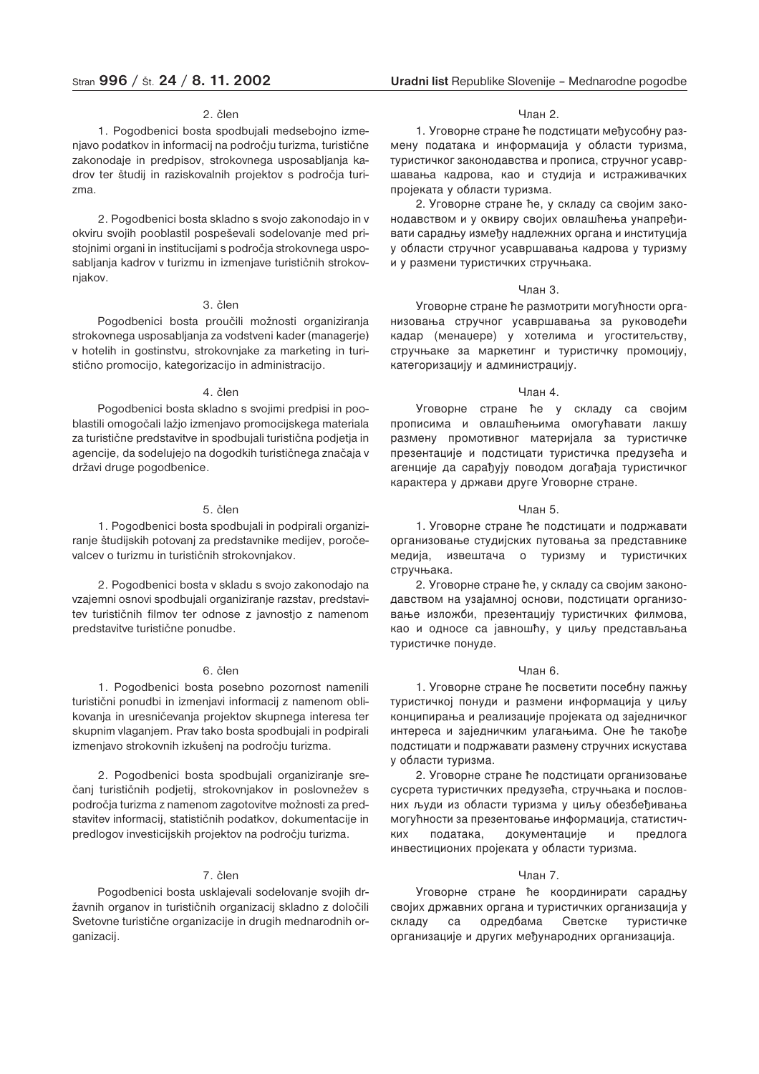#### 2. člen

1. Pogodbenici bosta spodbujali medsebojno izmenjavo podatkov in informacij na področju turizma, turistične zakonodaje in predpisov, strokovnega usposabljanja kadrov ter študij in raziskovalnih projektov s področja turizma.

2. Pogodbenici bosta skladno s svojo zakonodajo in v okviru svojih pooblastil pospeševali sodelovanje med pristojnimi organi in institucijami s področja strokovnega usposabljanja kadrov v turizmu in izmenjave turističnih strokovnjakov.

### 3. člen

Pogodbenici bosta proučili možnosti organiziranja strokovnega usposabljanja za vodstveni kader (managerje) v hotelih in gostinstvu, strokovnjake za marketing in turistično promocijo, kategorizacijo in administracijo.

#### 4. člen

Pogodbenici bosta skladno s svojimi predpisi in pooblastili omogočali lažjo izmenjavo promocijskega materiala za turistične predstavitve in spodbujali turistična podjetja in agencije, da sodelujejo na dogodkih turističnega značaja v državi druge pogodbenice.

### 5. člen

1. Pogodbenici bosta spodbujali in podpirali organiziranje študijskih potovanj za predstavnike medijev, poročevalcev o turizmu in turističnih strokovnjakov.

2. Pogodbenici bosta v skladu s svojo zakonodajo na vzajemni osnovi spodbujali organiziranje razstav, predstavitev turističnih filmov ter odnose z javnostjo z namenom predstavitve turistične ponudbe.

### 6. člen

1. Pogodbenici bosta posebno pozornost namenili turistični ponudbi in izmenjavi informacij z namenom oblikovanja in uresničevanja projektov skupnega interesa ter skupnim vlaganjem. Prav tako bosta spodbujali in podpirali izmenjavo strokovnih izkušenj na področju turizma.

2. Pogodbenici bosta spodbujali organiziranje srečanj turističnih podjetij, strokovnjakov in poslovnežev s področja turizma z namenom zagotovitve možnosti za predstavitev informacij, statističnih podatkov, dokumentacije in predlogov investicijskih projektov na področju turizma.

### 7. člen

Pogodbenici bosta usklajevali sodelovanje svojih državnih organov in turističnih organizacij skladno z določili Svetovne turistične organizacije in drugih mednarodnih organizacij.

#### Члан 2.

1. Уговорне стране ће подстицати међусобну размену података и информација у области туризма, туристичког законодавства и прописа, стручног усавршавања кадрова, као и студија и истраживачких пројеката у области туризма.

2. Уговорне стране ће, у складу са својим законодавством и у оквиру својих овлашћења унапређивати сарадњу између надлежних органа и институција у области стручног усавршавања кадрова у туризму и у размени туристичких стручњака.

#### Члан 3.

Уговорне стране ће размотрити могућности организовања стручног усавршавања за руководећи кадар (менаџере) у хотелима и угоститељству, стручњаке за маркетинг и туристичку промоцију, категоризацију и администрацију.

#### Члан 4.

Уговорне стране ће у складу са својим прописима и овлашћењима омогућавати лакшу размену промотивног материјала за туристичке презентације и подстицати туристичка предузећа и агенције да сарађују поводом догађаја туристичког карактера у држави друге Уговорне стране.

#### Члан 5.

1. Уговорне стране ће подстицати и подржавати организовање студијских путовања за представнике медија, извештача о туризму и туристичких стручњака.

2. Уговорне стране ће, у складу са својим законодавством на узајамној основи, подстицати организовање изложби, презентацију туристичких филмова, као и односе са јавношћу, у циљу представљања туристичке понуде.

### Члан 6.

1. Уговорне стране ће посветити посебну пажњу туристичкој понуди и размени информација у циљу конципирања и реализације пројеката од заједничког интереса и заједничким улагањима. Оне ће такође подстицати и подржавати размену стручних искустава у области туризма.

2. Уговорне стране ће подстицати организовање сусрета туристичких предузећа, стручњака и пословних људи из области туризма у циљу обезбеђивања могућности за презентовање информација, статистичких х података, документације и предлога инвестиционих пројеката у области туризма.

#### Члан 7.

Уговорне стране ће координирати сарадњу својих државних органа и туристичких организација у складу са одредбама Светске стичке организације и других међународних организација.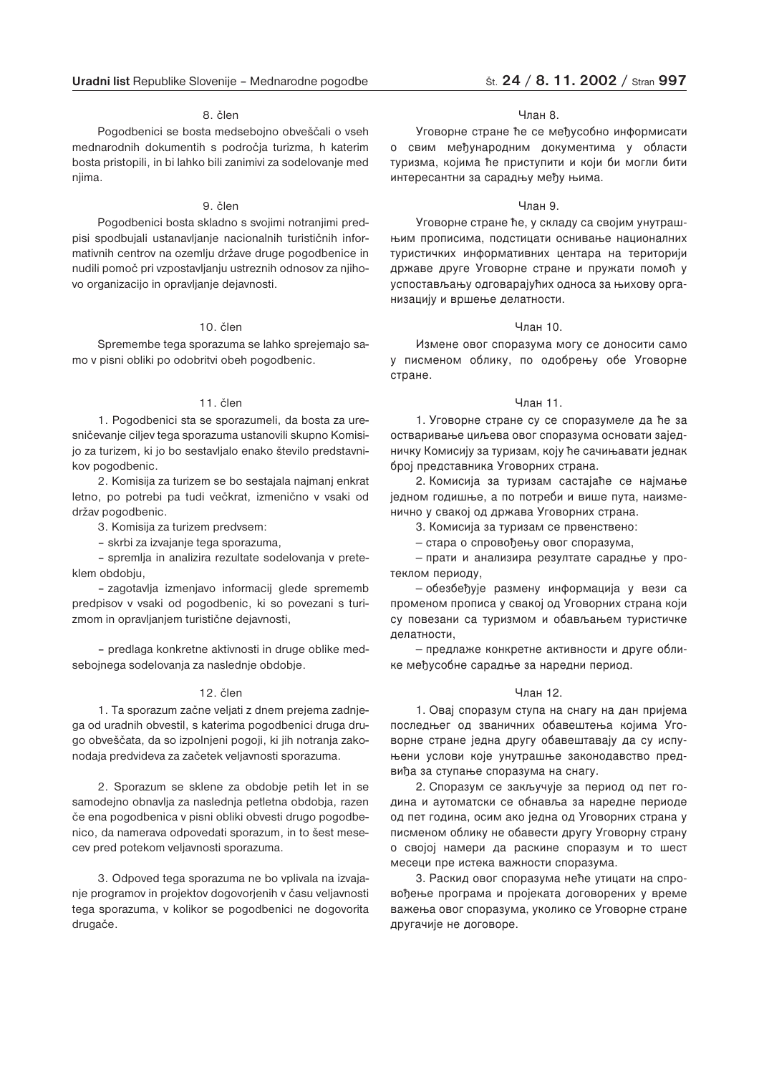### 8. člen

Pogodbenici se bosta medsebojno obveščali o vseh mednarodnih dokumentih s področja turizma, h katerim bosta pristopili, in bi lahko bili zanimivi za sodelovanje med njima.

### 9. člen

Pogodbenici bosta skladno s svojimi notranjimi predpisi spodbujali ustanavljanje nacionalnih turističnih informativnih centrov na ozemlju države druge pogodbenice in nudili pomoč pri vzpostavljanju ustreznih odnosov za njihovo organizacijo in opravljanje dejavnosti.

### 10. člen

Spremembe tega sporazuma se lahko sprejemajo samo v pisni obliki po odobritvi obeh pogodbenic.

#### 11. člen

1. Pogodbenici sta se sporazumeli, da bosta za uresničevanje ciljev tega sporazuma ustanovili skupno Komisijo za turizem, ki jo bo sestavljalo enako število predstavnikov pogodbenic.

2. Komisija za turizem se bo sestajala najmanj enkrat letno, po potrebi pa tudi večkrat, izmenično v vsaki od držav pogodbenic.

3. Komisija za turizem predvsem:

– skrbi za izvajanje tega sporazuma,

– spremlja in analizira rezultate sodelovanja v preteklem obdobju,

– zagotavlja izmenjavo informacij glede sprememb predpisov v vsaki od pogodbenic, ki so povezani s turizmom in opravljanjem turistične dejavnosti,

– predlaga konkretne aktivnosti in druge oblike medsebojnega sodelovanja za naslednje obdobje.

#### 12. člen

1. Ta sporazum začne veljati z dnem prejema zadnjega od uradnih obvestil, s katerima pogodbenici druga drugo obveščata, da so izpolnjeni pogoji, ki jih notranja zakonodaja predvideva za začetek veljavnosti sporazuma.

2. Sporazum se sklene za obdobje petih let in se samodejno obnavlja za naslednja petletna obdobja, razen če ena pogodbenica v pisni obliki obvesti drugo pogodbenico, da namerava odpovedati sporazum, in to šest mesecev pred potekom veljavnosti sporazuma.

3. Odpoved tega sporazuma ne bo vplivala na izvajanje programov in projektov dogovorjenih v času veljavnosti tega sporazuma, v kolikor se pogodbenici ne dogovorita drugače.

#### Члан 8.

Уговорне стране ће се међусобно информисати о свим међународним документима у области туризма, којима ће приступити и који би могли бити интересантни за сарадњу међу њима.

#### Члан 9.

Уговорне стране ће, у складу са својим унутрашњим прописима, подстицати оснивање националних туристичких информативних центара на територији државе друге Уговорне стране и пружати помоћ у успостављању одговарајућих односа за њихову организацију и вршење делатности.

#### Члан 10.

Измене овог споразума могу се доносити само у писменом облику, по одобрењу обе Уговорне стране.

#### Члан 11.

1. Уговорне стране су се споразумеле да ће за остваривање циљева овог споразума основати заједничку Комисију за туризам, коју ће сачињавати једнак број представника Уговорних страна.

2. Комисија за туризам састајаће се најмање једном годишње, а по потреби и више пута, наизменично у свакој од држава Уговорних страна.

3. Комисија за туризам се првенствено:

– стара о спровођењу овог споразума,

- прати и анализира резултате сарадње у протеклом периоду,

— обезбеђује размену информација у вези са променом прописа у свакој од Уговорних страна који су повезани са туризмом и обављањем туристичке делатности,

– предлаже конкретне активности и друге облике међусобне сарадње за наредни период.

#### Члан 12.

1. Овај споразум ступа на снагу на дан пријема последњег од званичних обавештења којима Уговорне стране једна другу обавештавају да су испуњени услови које унутрашње законодавство предвиђа за ступање споразума на снагу.

2. Споразум се закључује за период од пет година и аутоматски се обнавља за наредне периоде од пет година, осим ако једна од Уговорних страна у писменом облику не обавести другу Уговорну страну о својој намери да раскине споразум и то шест месеци пре истека важности споразума.

3. Раскид овог споразума неће утицати на спровођење програма и пројеката договорених у време важења овог споразума, уколико се Уговорне стране другачије не договоре.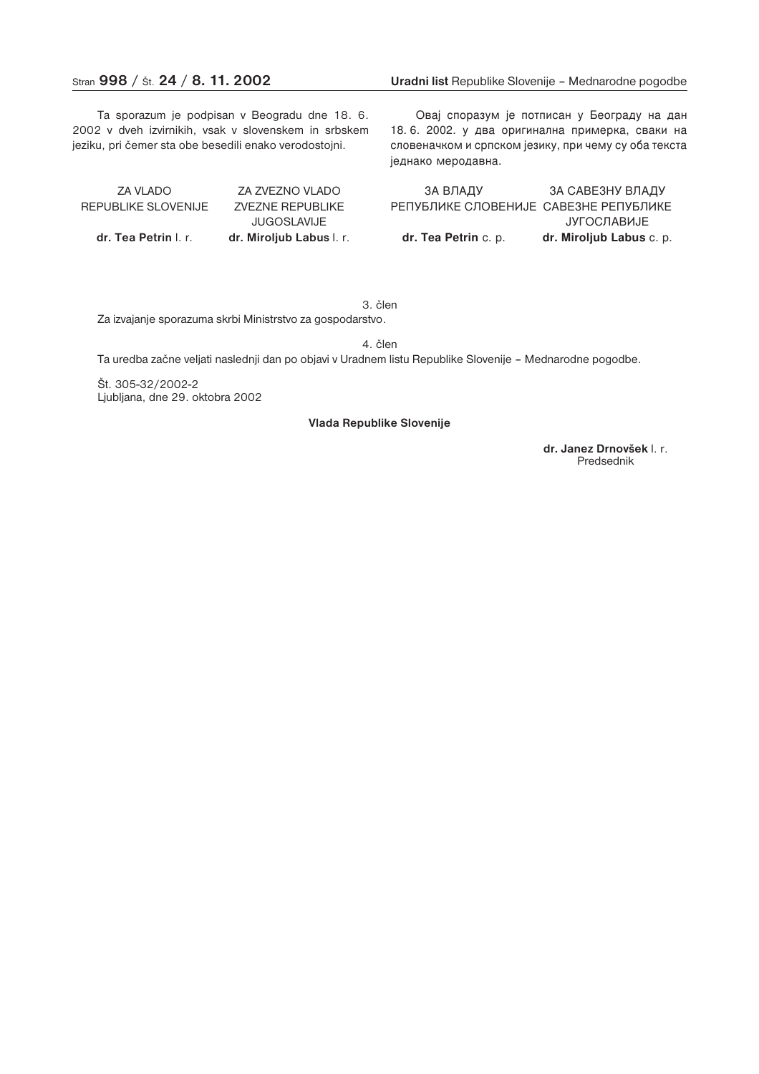Ta sporazum je podpisan v Beogradu dne 18. 6. 2002 v dveh izvirnikih, vsak v slovenskem in srbskem jeziku, pri čemer sta obe besedili enako verodostojni.

ZA VLADO ZA ZVEZNO VLADO REPUBLIKE SLOVENIJE ZVEZNE REPUBLIKE JUGOSLAVIJE **dr. Tea Petrin** l. r. **dr. Miroljub Labus** l. r.

Овај споразум је потписан у Београду на дан 18.6. 2002. у два оригинална примерка, сваки на словеначком и српском језику, при чему су оба текста једнако меродавна.

ЗА ВЛАДУ ЗА САВЕЗНУ ВЛАДУ РЕПУБЛИКЕ СЛОВЕНИЈЕ САВЕЗНЕ РЕПУБЛИКЕ **JУГОСЛАВИЈЕ** dr. Tea Petrin c. p. **dr. Miroljub Labus** c. p.

3. člen

Za izvajanje sporazuma skrbi Ministrstvo za gospodarstvo.

4. člen

Ta uredba začne veljati naslednji dan po objavi v Uradnem listu Republike Slovenije – Mednarodne pogodbe.

Št. 305-32/2002-2 Ljubljana, dne 29. oktobra 2002

#### **Vlada Republike Slovenije**

**dr. Janez Drnovšek** l. r. Predsednik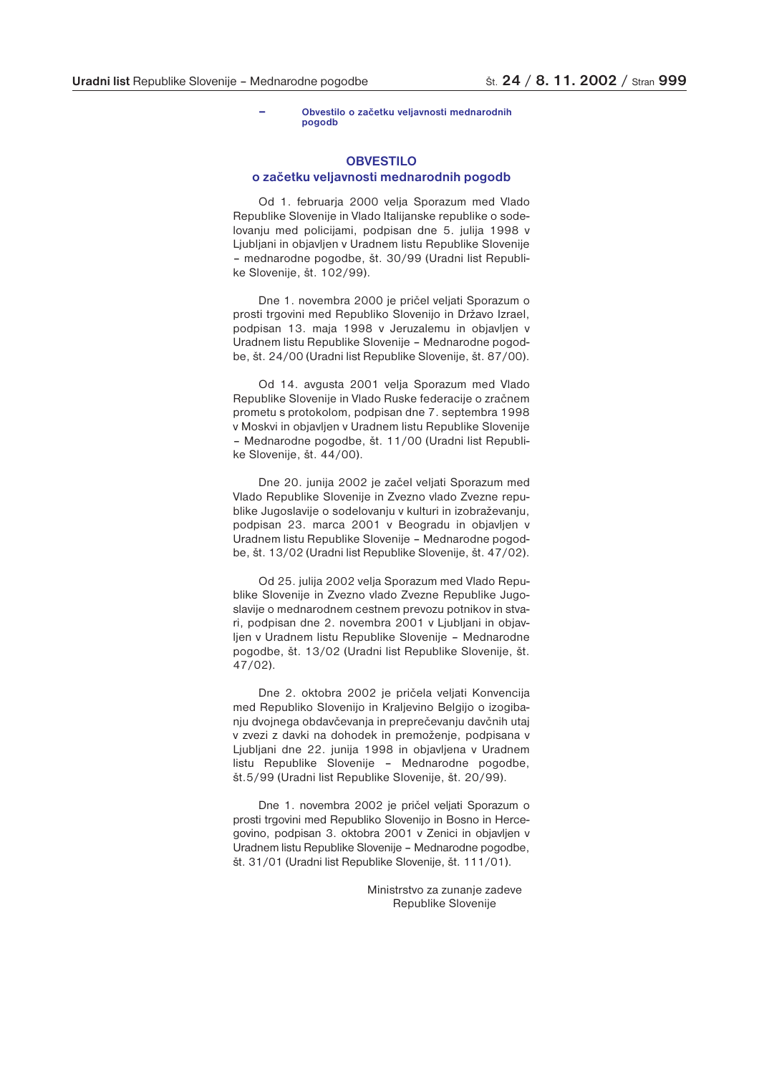#### **– Obvestilo o začetku veljavnosti mednarodnih pogodb**

### **OBVESTILO**

#### **o začetku veljavnosti mednarodnih pogodb**

Od 1. februarja 2000 velja Sporazum med Vlado Republike Slovenije in Vlado Italijanske republike o sodelovanju med policijami, podpisan dne 5. julija 1998 v Ljubljani in objavljen v Uradnem listu Republike Slovenije – mednarodne pogodbe, št. 30/99 (Uradni list Republike Slovenije, št. 102/99).

Dne 1. novembra 2000 je pričel veljati Sporazum o prosti trgovini med Republiko Slovenijo in Državo Izrael, podpisan 13. maja 1998 v Jeruzalemu in objavljen v Uradnem listu Republike Slovenije – Mednarodne pogodbe, št. 24/00 (Uradni list Republike Slovenije, št. 87/00).

Od 14. avgusta 2001 velja Sporazum med Vlado Republike Slovenije in Vlado Ruske federacije o zračnem prometu s protokolom, podpisan dne 7. septembra 1998 v Moskvi in objavljen v Uradnem listu Republike Slovenije – Mednarodne pogodbe, št. 11/00 (Uradni list Republike Slovenije, št. 44/00).

Dne 20. junija 2002 je začel veljati Sporazum med Vlado Republike Slovenije in Zvezno vlado Zvezne republike Jugoslavije o sodelovanju v kulturi in izobraževanju, podpisan 23. marca 2001 v Beogradu in objavljen v Uradnem listu Republike Slovenije – Mednarodne pogodbe, št. 13/02 (Uradni list Republike Slovenije, št. 47/02).

Od 25. julija 2002 velja Sporazum med Vlado Republike Slovenije in Zvezno vlado Zvezne Republike Jugoslavije o mednarodnem cestnem prevozu potnikov in stvari, podpisan dne 2. novembra 2001 v Ljubljani in objavljen v Uradnem listu Republike Slovenije – Mednarodne pogodbe, št. 13/02 (Uradni list Republike Slovenije, št. 47/02).

Dne 2. oktobra 2002 je pričela veljati Konvencija med Republiko Slovenijo in Kraljevino Belgijo o izogibanju dvojnega obdavčevanja in preprečevanju davčnih utaj v zvezi z davki na dohodek in premoženje, podpisana v Ljubljani dne 22. junija 1998 in objavljena v Uradnem listu Republike Slovenije – Mednarodne pogodbe, št.5/99 (Uradni list Republike Slovenije, št. 20/99).

Dne 1. novembra 2002 je pričel veljati Sporazum o prosti trgovini med Republiko Slovenijo in Bosno in Hercegovino, podpisan 3. oktobra 2001 v Zenici in objavljen v Uradnem listu Republike Slovenije – Mednarodne pogodbe, št. 31/01 (Uradni list Republike Slovenije, št. 111/01).

> Ministrstvo za zunanje zadeve Republike Slovenije